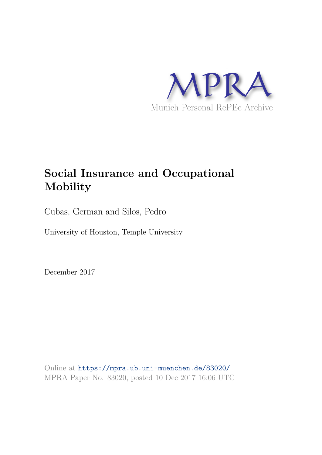

# **Social Insurance and Occupational Mobility**

Cubas, German and Silos, Pedro

University of Houston, Temple University

December 2017

Online at https://mpra.ub.uni-muenchen.de/83020/ MPRA Paper No. 83020, posted 10 Dec 2017 16:06 UTC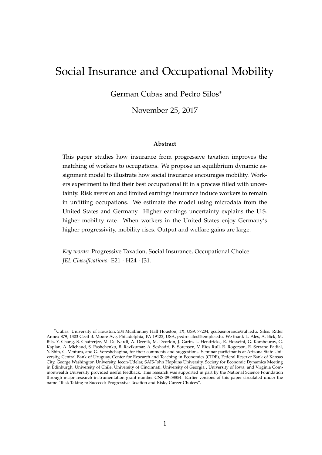## Social Insurance and Occupational Mobility

German Cubas and Pedro Silos<sup>∗</sup>

November 25, 2017

#### **Abstract**

This paper studies how insurance from progressive taxation improves the matching of workers to occupations. We propose an equilibrium dynamic assignment model to illustrate how social insurance encourages mobility. Workers experiment to find their best occupational fit in a process filled with uncertainty. Risk aversion and limited earnings insurance induce workers to remain in unfitting occupations. We estimate the model using microdata from the United States and Germany. Higher earnings uncertainty explains the U.S. higher mobility rate. When workers in the United States enjoy Germany's higher progressivity, mobility rises. Output and welfare gains are large.

*Key words:* Progressive Taxation, Social Insurance, Occupational Choice *JEL Classifications:* E21 · H24 · J31.

<sup>∗</sup>Cubas: University of Houston, 204 McElhinney Hall Houston, TX, USA 77204, gcubasnorando@uh.edu. Silos: Ritter Annex 879, 1303 Cecil B. Moore Ave, Philadelphia, PA 19122, USA, pedro.silos@temple.edu. We thank L. Ales, A. Bick, M. Bils, Y. Chang, S. Chatterjee, M. De Nardi, A. Drenik, M. Dvorkin, J. Garin, L. Hendricks, R. Hosseini, G. Kambourov, G. Kaplan, A. Michaud, S. Pashchenko, B. Ravikumar, A. Seshadri, B. Sorensen, V. Ríos-Rull, R. Rogerson, R. Serrano-Padial, Y. Shin, G. Ventura, and G. Vereshchagina, for their comments and suggestions. Seminar participants at Arizona State University, Central Bank of Uruguay, Center for Research and Teaching in Economics (CIDE), Federal Reserve Bank of Kansas City, George Washington University, Iecon-Udelar, SAIS-John Hopkins University, Society for Economic Dynamics Meeting in Edinburgh, University of Chile, University of Cincinnati, University of Georgia , University of Iowa, and Virginia Commonwealth University provided useful feedback. This research was supported in part by the National Science Foundation through major research instrumentation grant number CNS-09-58854. Earlier versions of this paper circulated under the name "Risk Taking to Succeed: Progressive Taxation and Risky Career Choices".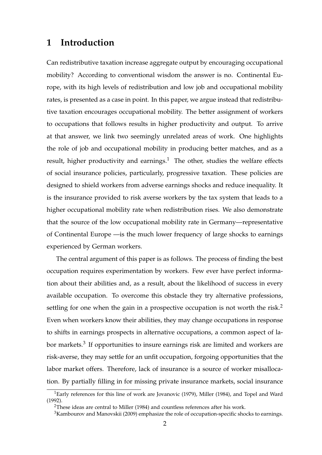### **1 Introduction**

Can redistributive taxation increase aggregate output by encouraging occupational mobility? According to conventional wisdom the answer is no. Continental Europe, with its high levels of redistribution and low job and occupational mobility rates, is presented as a case in point. In this paper, we argue instead that redistributive taxation encourages occupational mobility. The better assignment of workers to occupations that follows results in higher productivity and output. To arrive at that answer, we link two seemingly unrelated areas of work. One highlights the role of job and occupational mobility in producing better matches, and as a result, higher productivity and earnings.<sup>1</sup> The other, studies the welfare effects of social insurance policies, particularly, progressive taxation. These policies are designed to shield workers from adverse earnings shocks and reduce inequality. It is the insurance provided to risk averse workers by the tax system that leads to a higher occupational mobility rate when redistribution rises. We also demonstrate that the source of the low occupational mobility rate in Germany—representative of Continental Europe —is the much lower frequency of large shocks to earnings experienced by German workers.

The central argument of this paper is as follows. The process of finding the best occupation requires experimentation by workers. Few ever have perfect information about their abilities and, as a result, about the likelihood of success in every available occupation. To overcome this obstacle they try alternative professions, settling for one when the gain in a prospective occupation is not worth the risk.<sup>2</sup> Even when workers know their abilities, they may change occupations in response to shifts in earnings prospects in alternative occupations, a common aspect of labor markets.<sup>3</sup> If opportunities to insure earnings risk are limited and workers are risk-averse, they may settle for an unfit occupation, forgoing opportunities that the labor market offers. Therefore, lack of insurance is a source of worker misallocation. By partially filling in for missing private insurance markets, social insurance

<sup>&</sup>lt;sup>1</sup>Early references for this line of work are Jovanovic (1979), Miller (1984), and Topel and Ward (1992).

<sup>&</sup>lt;sup>2</sup>These ideas are central to Miller (1984) and countless references after his work.

 $3$ Kambourov and Manovskii (2009) emphasize the role of occupation-specific shocks to earnings.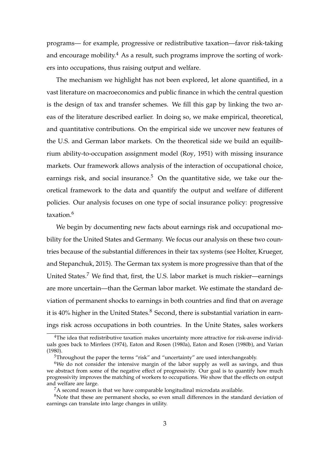programs— for example, progressive or redistributive taxation—favor risk-taking and encourage mobility.<sup>4</sup> As a result, such programs improve the sorting of workers into occupations, thus raising output and welfare.

The mechanism we highlight has not been explored, let alone quantified, in a vast literature on macroeconomics and public finance in which the central question is the design of tax and transfer schemes. We fill this gap by linking the two areas of the literature described earlier. In doing so, we make empirical, theoretical, and quantitative contributions. On the empirical side we uncover new features of the U.S. and German labor markets. On the theoretical side we build an equilibrium ability-to-occupation assignment model (Roy, 1951) with missing insurance markets. Our framework allows analysis of the interaction of occupational choice, earnings risk, and social insurance.<sup>5</sup> On the quantitative side, we take our theoretical framework to the data and quantify the output and welfare of different policies. Our analysis focuses on one type of social insurance policy: progressive taxation.<sup>6</sup>

We begin by documenting new facts about earnings risk and occupational mobility for the United States and Germany. We focus our analysis on these two countries because of the substantial differences in their tax systems (see Holter, Krueger, and Stepanchuk, 2015). The German tax system is more progressive than that of the United States.<sup>7</sup> We find that, first, the U.S. labor market is much riskier—earnings are more uncertain—than the German labor market. We estimate the standard deviation of permanent shocks to earnings in both countries and find that on average it is  $40\%$  higher in the United States. $8$  Second, there is substantial variation in earnings risk across occupations in both countries. In the Unite States, sales workers

<sup>&</sup>lt;sup>4</sup>The idea that redistributive taxation makes uncertainty more attractive for risk-averse individuals goes back to Mirrlees (1974), Eaton and Rosen (1980a), Eaton and Rosen (1980b), and Varian (1980).

<sup>&</sup>lt;sup>5</sup>Throughout the paper the terms "risk" and "uncertainty" are used interchangeably.

 $6$ We do not consider the intensive margin of the labor supply as well as savings, and thus we abstract from some of the negative effect of progressivity. Our goal is to quantify how much progressivity improves the matching of workers to occupations. We show that the effects on output and welfare are large.

 ${}^{7}$ A second reason is that we have comparable longitudinal microdata available.

<sup>&</sup>lt;sup>8</sup>Note that these are permanent shocks, so even small differences in the standard deviation of earnings can translate into large changes in utility.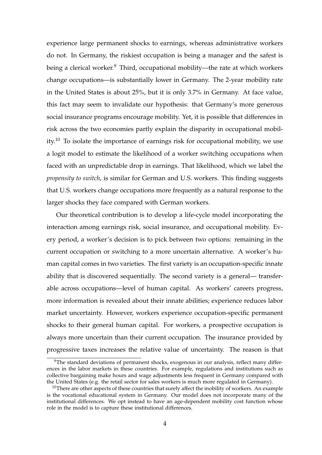experience large permanent shocks to earnings, whereas administrative workers do not. In Germany, the riskiest occupation is being a manager and the safest is being a clerical worker.<sup>9</sup> Third, occupational mobility—the rate at which workers change occupations—is substantially lower in Germany. The 2-year mobility rate in the United States is about 25%, but it is only 3.7% in Germany. At face value, this fact may seem to invalidate our hypothesis: that Germany's more generous social insurance programs encourage mobility. Yet, it is possible that differences in risk across the two economies partly explain the disparity in occupational mobility.<sup>10</sup> To isolate the importance of earnings risk for occupational mobility, we use a logit model to estimate the likelihood of a worker switching occupations when faced with an unpredictable drop in earnings. That likelihood, which we label the *propensity to switch*, is similar for German and U.S. workers. This finding suggests that U.S. workers change occupations more frequently as a natural response to the larger shocks they face compared with German workers.

Our theoretical contribution is to develop a life-cycle model incorporating the interaction among earnings risk, social insurance, and occupational mobility. Every period, a worker's decision is to pick between two options: remaining in the current occupation or switching to a more uncertain alternative. A worker's human capital comes in two varieties. The first variety is an occupation-specific innate ability that is discovered sequentially. The second variety is a general— transferable across occupations—level of human capital. As workers' careers progress, more information is revealed about their innate abilities; experience reduces labor market uncertainty. However, workers experience occupation-specific permanent shocks to their general human capital. For workers, a prospective occupation is always more uncertain than their current occupation. The insurance provided by progressive taxes increases the relative value of uncertainty. The reason is that

 $9$ The standard deviations of permanent shocks, exogenous in our analysis, reflect many differences in the labor markets in these countries. For example, regulations and institutions such as collective bargaining make hours and wage adjustments less frequent in Germany compared with the United States (e.g. the retail sector for sales workers is much more regulated in Germany).

 $10$ There are other aspects of these countries that surely affect the mobility of workers. An example is the vocational educational system in Germany. Our model does not incorporate many of the institutional differences. We opt instead to have an age-dependent mobility cost function whose role in the model is to capture these institutional differences.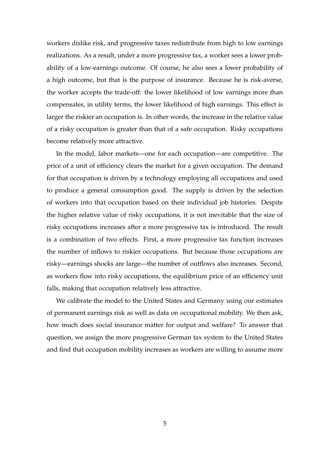workers dislike risk, and progressive taxes redistribute from high to low earnings realizations. As a result, under a more progressive tax, a worker sees a lower probability of a low-earnings outcome. Of course, he also sees a lower probability of a high outcome, but that is the purpose of insurance. Because he is risk-averse, the worker accepts the trade-off: the lower likelihood of low earnings more than compensates, in utility terms, the lower likelihood of high earnings. This effect is larger the riskier an occupation is. In other words, the increase in the relative value of a risky occupation is greater than that of a safe occupation. Risky occupations become relatively more attractive.

In the model, labor markets—one for each occupation—are competitive. The price of a unit of efficiency clears the market for a given occupation. The demand for that occupation is driven by a technology employing all occupations and used to produce a general consumption good. The supply is driven by the selection of workers into that occupation based on their individual job histories. Despite the higher relative value of risky occupations, it is not inevitable that the size of risky occupations increases after a more progressive tax is introduced. The result is a combination of two effects. First, a more progressive tax function increases the number of inflows to riskier occupations. But because those occupations are risky—earnings shocks are large—the number of outflows also increases. Second, as workers flow into risky occupations, the equilibrium price of an efficiency unit falls, making that occupation relatively less attractive.

We calibrate the model to the United States and Germany using our estimates of permanent earnings risk as well as data on occupational mobility. We then ask, how much does social insurance matter for output and welfare? To answer that question, we assign the more progressive German tax system to the United States and find that occupation mobility increases as workers are willing to assume more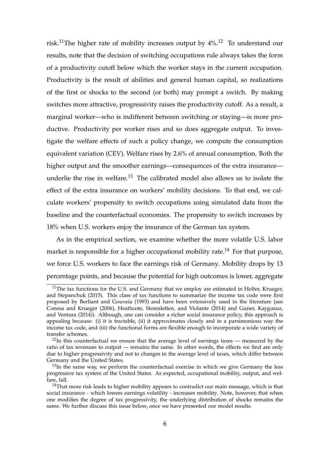risk.<sup>11</sup>The higher rate of mobility increases output by  $4\%$ .<sup>12</sup> To understand our results, note that the decision of switching occupations rule always takes the form of a productivity cutoff below which the worker stays in the current occupation. Productivity is the result of abilities and general human capital, so realizations of the first or shocks to the second (or both) may prompt a switch. By making switches more attractive, progressivity raises the productivity cutoff. As a result, a marginal worker—who is indifferent between switching or staying—is more productive. Productivity per worker rises and so does aggregate output. To investigate the welfare effects of such a policy change, we compute the consumption equivalent variation (CEV). Welfare rises by 2.6% of annual consumption. Both the higher output and the smoother earnings—consequences of the extra insurance underlie the rise in welfare.<sup>13</sup> The calibrated model also allows us to isolate the effect of the extra insurance on workers' mobility decisions. To that end, we calculate workers' propensity to switch occupations using simulated data from the baseline and the counterfactual economies. The propensity to switch increases by 18% when U.S. workers enjoy the insurance of the German tax system.

As in the empirical section, we examine whether the more volatile U.S. labor market is responsible for a higher occupational mobility rate.<sup>14</sup> For that purpose, we force U.S. workers to face the earnings risk of Germany. Mobility drops by 13 percentage points, and because the potential for high outcomes is lower, aggregate

 $11$ The tax functions for the U.S. and Germany that we employ are estimated in Holter, Krueger, and Stepanchuk (2015). This class of tax functions to summarize the income tax code were first proposed by Berliant and Gouveia (1993) and have been extensively used in the literature (see Conesa and Krueger (2006), Heathcote, Storesletten, and Violante (2014) and Guner, Kaygusuz, and Ventura (2014)). Although, one can consider a richer social insurance policy, this approach is appealing because: (i) it is tractable, (ii) it approximates closely and in a parsimonious way the income tax code, and (iii) the functional forms are flexible enough to incorporate a wide variety of transfer schemes.

 $12$ In this counterfactual we ensure that the average level of earnings taxes — measured by the ratio of tax revenues to output — remains the same. In other words, the effects we find are only due to higher progressivity and not to changes in the average level of taxes, which differ between Germany and the United States.

 $13$ In the same way, we perform the counterfactual exercise in which we give Germany the less progressive tax system of the United States. As expected, occupational mobility, output, and welfare, fall.

 $14$ That more risk leads to higher mobility appears to contradict our main message, which is that social insurance - which lowers earnings volatility - increases mobility. Note, however, that when one modifies the degree of tax progressivity, the underlying distribution of shocks remains the same. We further discuss this issue below, once we have presented our model results.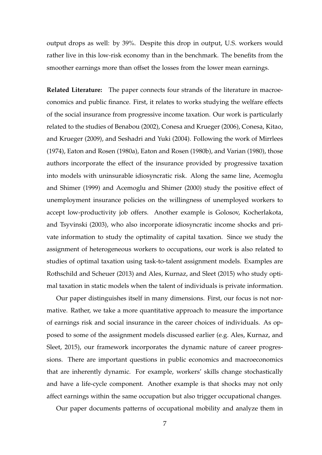output drops as well: by 39%. Despite this drop in output, U.S. workers would rather live in this low-risk economy than in the benchmark. The benefits from the smoother earnings more than offset the losses from the lower mean earnings.

**Related Literature:** The paper connects four strands of the literature in macroeconomics and public finance. First, it relates to works studying the welfare effects of the social insurance from progressive income taxation. Our work is particularly related to the studies of Benabou (2002), Conesa and Krueger (2006), Conesa, Kitao, and Krueger (2009), and Seshadri and Yuki (2004). Following the work of Mirrlees (1974), Eaton and Rosen (1980a), Eaton and Rosen (1980b), and Varian (1980), those authors incorporate the effect of the insurance provided by progressive taxation into models with uninsurable idiosyncratic risk. Along the same line, Acemoglu and Shimer (1999) and Acemoglu and Shimer (2000) study the positive effect of unemployment insurance policies on the willingness of unemployed workers to accept low-productivity job offers. Another example is Golosov, Kocherlakota, and Tsyvinski (2003), who also incorporate idiosyncratic income shocks and private information to study the optimality of capital taxation. Since we study the assignment of heterogeneous workers to occupations, our work is also related to studies of optimal taxation using task-to-talent assignment models. Examples are Rothschild and Scheuer (2013) and Ales, Kurnaz, and Sleet (2015) who study optimal taxation in static models when the talent of individuals is private information.

Our paper distinguishes itself in many dimensions. First, our focus is not normative. Rather, we take a more quantitative approach to measure the importance of earnings risk and social insurance in the career choices of individuals. As opposed to some of the assignment models discussed earlier (e.g. Ales, Kurnaz, and Sleet, 2015), our framework incorporates the dynamic nature of career progressions. There are important questions in public economics and macroeconomics that are inherently dynamic. For example, workers' skills change stochastically and have a life-cycle component. Another example is that shocks may not only affect earnings within the same occupation but also trigger occupational changes.

Our paper documents patterns of occupational mobility and analyze them in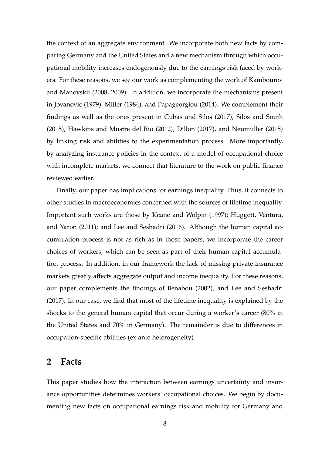the context of an aggregate environment. We incorporate both new facts by comparing Germany and the United States and a new mechanism through which occupational mobility increases endogenously due to the earnings risk faced by workers. For these reasons, we see our work as complementing the work of Kambourov and Manovskii (2008, 2009). In addition, we incorporate the mechanisms present in Jovanovic (1979), Miller (1984), and Papageorgiou (2014). We complement their findings as well as the ones present in Cubas and Silos (2017), Silos and Smith (2015), Hawkins and Mustre del Rio (2012), Dillon (2017), and Neumuller (2015) by linking risk and abilities to the experimentation process. More importantly, by analyzing insurance policies in the context of a model of occupational choice with incomplete markets, we connect that literature to the work on public finance reviewed earlier.

Finally, our paper has implications for earnings inequality. Thus, it connects to other studies in macroeconomics concerned with the sources of lifetime inequality. Important such works are those by Keane and Wolpin (1997); Huggett, Ventura, and Yaron (2011); and Lee and Seshadri (2016). Although the human capital accumulation process is not as rich as in those papers, we incorporate the career choices of workers, which can be seen as part of their human capital accumulation process. In addition, in our framework the lack of missing private insurance markets greatly affects aggregate output and income inequality. For these reasons, our paper complements the findings of Benabou (2002), and Lee and Seshadri (2017). In our case, we find that most of the lifetime inequality is explained by the shocks to the general human capital that occur during a worker's career (80% in the United States and 70% in Germany). The remainder is due to differences in occupation-specific abilities (ex ante heterogeneity).

### **2 Facts**

This paper studies how the interaction between earnings uncertainty and insurance opportunities determines workers' occupational choices. We begin by documenting new facts on occupational earnings risk and mobility for Germany and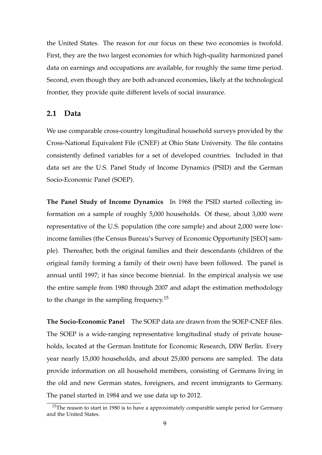the United States. The reason for our focus on these two economies is twofold. First, they are the two largest economies for which high-quality harmonized panel data on earnings and occupations are available, for roughly the same time period. Second, even though they are both advanced economies, likely at the technological frontier, they provide quite different levels of social insurance.

### **2.1 Data**

We use comparable cross-country longitudinal household surveys provided by the Cross-National Equivalent File (CNEF) at Ohio State University. The file contains consistently defined variables for a set of developed countries. Included in that data set are the U.S. Panel Study of Income Dynamics (PSID) and the German Socio-Economic Panel (SOEP).

**The Panel Study of Income Dynamics** In 1968 the PSID started collecting information on a sample of roughly 5,000 households. Of these, about 3,000 were representative of the U.S. population (the core sample) and about 2,000 were lowincome families (the Census Bureau's Survey of Economic Opportunity [SEO] sample). Thereafter, both the original families and their descendants (children of the original family forming a family of their own) have been followed. The panel is annual until 1997; it has since become biennial. In the empirical analysis we use the entire sample from 1980 through 2007 and adapt the estimation methodology to the change in the sampling frequency.<sup>15</sup>

**The Socio-Economic Panel** The SOEP data are drawn from the SOEP-CNEF files. The SOEP is a wide-ranging representative longitudinal study of private households, located at the German Institute for Economic Research, DIW Berlin. Every year nearly 15,000 households, and about 25,000 persons are sampled. The data provide information on all household members, consisting of Germans living in the old and new German states, foreigners, and recent immigrants to Germany. The panel started in 1984 and we use data up to 2012.

 $15$ The reason to start in 1980 is to have a approximately comparable sample period for Germany and the United States.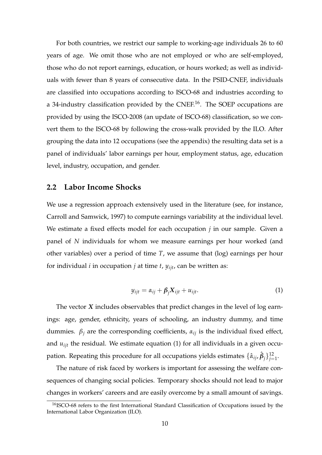For both countries, we restrict our sample to working-age individuals 26 to 60 years of age. We omit those who are not employed or who are self-employed, those who do not report earnings, education, or hours worked; as well as individuals with fewer than 8 years of consecutive data. In the PSID-CNEF, individuals are classified into occupations according to ISCO-68 and industries according to a 34-industry classification provided by the CNEF.16. The SOEP occupations are provided by using the ISCO-2008 (an update of ISCO-68) classification, so we convert them to the ISCO-68 by following the cross-walk provided by the ILO. After grouping the data into 12 occupations (see the appendix) the resulting data set is a panel of individuals' labor earnings per hour, employment status, age, education level, industry, occupation, and gender.

### **2.2 Labor Income Shocks**

We use a regression approach extensively used in the literature (see, for instance, Carroll and Samwick, 1997) to compute earnings variability at the individual level. We estimate a fixed effects model for each occupation *j* in our sample. Given a panel of *N* individuals for whom we measure earnings per hour worked (and other variables) over a period of time *T*, we assume that (log) earnings per hour for individual *i* in occupation *j* at time *t*,  $y_{ijt}$ , can be written as:

$$
y_{ijt} = \alpha_{ij} + \beta_j X_{ijt} + u_{ijt}.
$$
 (1)

The vector *X* includes observables that predict changes in the level of log earnings: age, gender, ethnicity, years of schooling, an industry dummy, and time dummies.  $\beta_i$  are the corresponding coefficients,  $\alpha_{ij}$  is the individual fixed effect, and *uijt* the residual. We estimate equation (1) for all individuals in a given occupation. Repeating this procedure for all occupations yields estimates  $\{\hat\alpha_{ij},\hat\beta_j\}_{j=1}^{12}.$ 

The nature of risk faced by workers is important for assessing the welfare consequences of changing social policies. Temporary shocks should not lead to major changes in workers' careers and are easily overcome by a small amount of savings.

<sup>16</sup>ISCO-68 refers to the first International Standard Classification of Occupations issued by the International Labor Organization (ILO).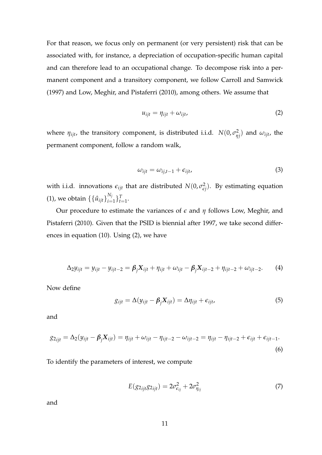For that reason, we focus only on permanent (or very persistent) risk that can be associated with, for instance, a depreciation of occupation-specific human capital and can therefore lead to an occupational change. To decompose risk into a permanent component and a transitory component, we follow Carroll and Samwick (1997) and Low, Meghir, and Pistaferri (2010), among others. We assume that

$$
u_{ijt} = \eta_{ijt} + \omega_{ijt}, \tag{2}
$$

where  $\eta_{ijt}$ , the transitory component, is distributed i.i.d.  $N(0, \sigma_n^2)$ *ηj* ) and *ωijt*, the permanent component, follow a random walk,

$$
\omega_{ijt} = \omega_{ij,t-1} + \epsilon_{ijt}, \tag{3}
$$

with i.i.d. innovations  $\epsilon_{ijt}$  that are distributed  $N(0, \sigma_{\epsilon}^2)$  $\left(\frac{2}{\epsilon}\right)$ . By estimating equation (1), we obtain  $\{\{\hat{u}_{ijt}\}_{i=1}^{N_j}$  $\{f_{i=1}^{N_j}\}_{t=1}^T$ .

Our procedure to estimate the variances of *ǫ* and *η* follows Low, Meghir, and Pistaferri (2010). Given that the PSID is biennial after 1997, we take second differences in equation (10). Using (2), we have

$$
\Delta_2 y_{ijt} = y_{ijt} - y_{ijt-2} = \beta_j X_{ijt} + \eta_{ijt} + \omega_{ijt} - \beta_j X_{ijt-2} + \eta_{ijt-2} + \omega_{ijt-2}.
$$
 (4)

Now define

$$
g_{ijt} = \Delta(y_{ijt} - \beta_j X_{ijt}) = \Delta \eta_{ijt} + \epsilon_{ijt},
$$
\n(5)

and

$$
g_{2ijt} = \Delta_2(y_{ijt} - \beta_j X_{ijt}) = \eta_{ijt} + \omega_{ijt} - \eta_{ijt-2} - \omega_{ijt-2} = \eta_{ijt} - \eta_{ijt-2} + \epsilon_{ijt} + \epsilon_{ijt-1}.
$$
\n(6)

To identify the parameters of interest, we compute

$$
E(g_{2ijt}g_{2ijt}) = 2\sigma_{\epsilon_{ij}}^2 + 2\sigma_{\eta_{ij}}^2
$$
\n(7)

and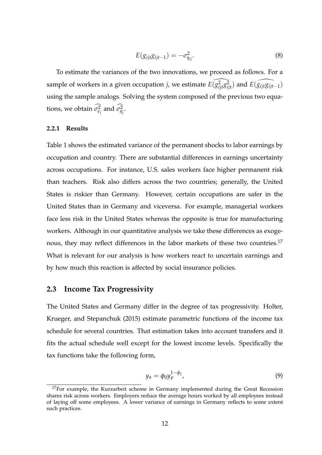$$
E(g_{ijt}g_{ijt-1}) = -\sigma_{\eta_{ij}}^2.
$$
\n(8)

To estimate the variances of the two innovations, we proceed as follows. For a sample of workers in a given occupation *j*, we estimate  $\widehat{E(g_{ijt}^2g_{ijt}^2)}$  and  $\widehat{E(g_{ijt}g_{ijt-1})}$ using the sample analogs. Solving the system composed of the previous two equa- $\frac{1}{2}$  tions, we obtain  $\sigma_{\epsilon_j}^2$  and  $\sigma_{\eta_j}^2$ .

#### **2.2.1 Results**

Table 1 shows the estimated variance of the permanent shocks to labor earnings by occupation and country. There are substantial differences in earnings uncertainty across occupations. For instance, U.S. sales workers face higher permanent risk than teachers. Risk also differs across the two countries; generally, the United States is riskier than Germany. However, certain occupations are safer in the United States than in Germany and viceversa. For example, managerial workers face less risk in the United States whereas the opposite is true for manufacturing workers. Although in our quantitative analysis we take these differences as exogenous, they may reflect differences in the labor markets of these two countries.<sup>17</sup> What is relevant for our analysis is how workers react to uncertain earnings and by how much this reaction is affected by social insurance policies.

### **2.3 Income Tax Progressivity**

The United States and Germany differ in the degree of tax progressivity. Holter, Krueger, and Stepanchuk (2015) estimate parametric functions of the income tax schedule for several countries. That estimation takes into account transfers and it fits the actual schedule well except for the lowest income levels. Specifically the tax functions take the following form,

$$
y_a = \phi_0 y_p^{1-\phi_1},\tag{9}
$$

 $17$ For example, the Kurzarbeit scheme in Germany implemented during the Great Recession shares risk across workers. Employers reduce the average hours worked by all employees instead of laying off some employees. A lower variance of earnings in Germany reflects to some extent such practices.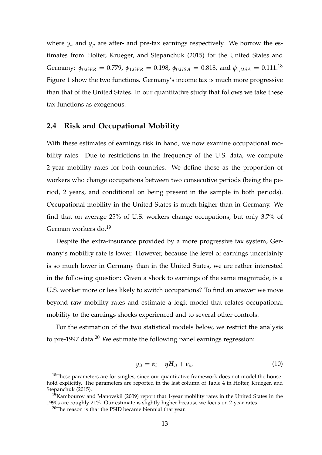where  $y_a$  and  $y_p$  are after- and pre-tax earnings respectively. We borrow the estimates from Holter, Krueger, and Stepanchuk (2015) for the United States and Germany:  $\phi_{0,GER} = 0.779$ ,  $\phi_{1,GER} = 0.198$ ,  $\phi_{0,USA} = 0.818$ , and  $\phi_{1,USA} = 0.111$ .<sup>18</sup> Figure 1 show the two functions. Germany's income tax is much more progressive than that of the United States. In our quantitative study that follows we take these tax functions as exogenous.

#### **2.4 Risk and Occupational Mobility**

With these estimates of earnings risk in hand, we now examine occupational mobility rates. Due to restrictions in the frequency of the U.S. data, we compute 2-year mobility rates for both countries. We define those as the proportion of workers who change occupations between two consecutive periods (being the period, 2 years, and conditional on being present in the sample in both periods). Occupational mobility in the United States is much higher than in Germany. We find that on average 25% of U.S. workers change occupations, but only 3.7% of German workers do.<sup>19</sup>

Despite the extra-insurance provided by a more progressive tax system, Germany's mobility rate is lower. However, because the level of earnings uncertainty is so much lower in Germany than in the United States, we are rather interested in the following question: Given a shock to earnings of the same magnitude, is a U.S. worker more or less likely to switch occupations? To find an answer we move beyond raw mobility rates and estimate a logit model that relates occupational mobility to the earnings shocks experienced and to several other controls.

For the estimation of the two statistical models below, we restrict the analysis to pre-1997 data.<sup>20</sup> We estimate the following panel earnings regression:

$$
y_{it} = \alpha_i + \eta H_{it} + v_{it}. \tag{10}
$$

 $18$ These parameters are for singles, since our quantitative framework does not model the household explicitly. The parameters are reported in the last column of Table 4 in Holter, Krueger, and Stepanchuk (2015).

<sup>&</sup>lt;sup>19</sup>Kambourov and Manovskii (2009) report that 1-year mobility rates in the United States in the 1990s are roughly 21%. Our estimate is slightly higher because we focus on 2-year rates.

 $20$ The reason is that the PSID became biennial that year.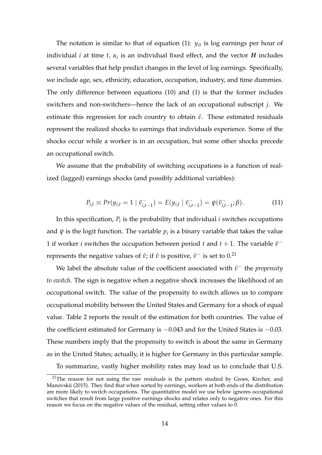The notation is similar to that of equation (1): *yit* is log earnings per hour of individual *i* at time *t*,  $\alpha_i$  is an individual fixed effect, and the vector *H* includes several variables that help predict changes in the level of log earnings. Specifically, we include age, sex, ethnicity, education, occupation, industry, and time dummies. The only difference between equations (10) and (1) is that the former includes switchers and non-switchers—hence the lack of an occupational subscript *j*. We estimate this regression for each country to obtain  $\hat{ν}$ . These estimated residuals represent the realized shocks to earnings that individuals experience. Some of the shocks occur while a worker is in an occupation, but some other shocks precede an occupational switch.

We assume that the probability of switching occupations is a function of realized (lagged) earnings shocks (and possibly additional variables):

$$
P_{i,t} \equiv Pr(y_{i,t} = 1 \mid \hat{v}_{i,t-1}^{-}) = E(y_{i,t} \mid \hat{v}_{i,t-1}^{-}) = \psi(\hat{v}_{i,t-1}^{-}; \beta).
$$
 (11)

In this specification*,*  $P_i$  is the probability that individual  $i$  switches occupations and  $\psi$  is the logit function. The variable  $p_i$  is a binary variable that takes the value 1 if worker *i* switches the occupation between period *t* and  $t + 1$ . The variable  $\hat{v}^$ represents the negative values of *ν̂*; if *ν̂* is positive,  $ν$ <sup>−</sup> is set to 0.<sup>21</sup>

We label the absolute value of the coefficient associated with  $\hat{v}$ <sup>-</sup> the *propensity to switch*. The sign is negative when a negative shock increases the likelihood of an occupational switch. The value of the propensity to switch allows us to compare occupational mobility between the United States and Germany for a shock of equal value. Table 2 reports the result of the estimation for both countries. The value of the coefficient estimated for Germany is −0.043 and for the United States is −0.03. These numbers imply that the propensity to switch is about the same in Germany as in the United States; actually, it is higher for Germany in this particular sample.

To summarize, vastly higher mobility rates may lead us to conclude that U.S.

 $21$ The reason for not using the raw residuals is the pattern studied by Groes, Kircher, and Manovskii (2015). They find that when sorted by earnings, workers at both ends of the distribution are more likely to switch occupations. The quantitative model we use below ignores occupational switches that result from large positive earnings shocks and relates only to negative ones. For this reason we focus on the negative values of the residual, setting other values to 0.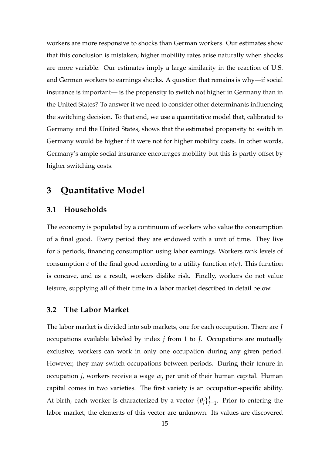workers are more responsive to shocks than German workers. Our estimates show that this conclusion is mistaken; higher mobility rates arise naturally when shocks are more variable. Our estimates imply a large similarity in the reaction of U.S. and German workers to earnings shocks. A question that remains is why—if social insurance is important— is the propensity to switch not higher in Germany than in the United States? To answer it we need to consider other determinants influencing the switching decision. To that end, we use a quantitative model that, calibrated to Germany and the United States, shows that the estimated propensity to switch in Germany would be higher if it were not for higher mobility costs. In other words, Germany's ample social insurance encourages mobility but this is partly offset by higher switching costs.

### **3 Quantitative Model**

### **3.1 Households**

The economy is populated by a continuum of workers who value the consumption of a final good. Every period they are endowed with a unit of time. They live for *S* periods, financing consumption using labor earnings. Workers rank levels of consumption *c* of the final good according to a utility function  $u(c)$ . This function is concave, and as a result, workers dislike risk. Finally, workers do not value leisure, supplying all of their time in a labor market described in detail below.

### **3.2 The Labor Market**

The labor market is divided into sub markets, one for each occupation. There are *J* occupations available labeled by index *j* from 1 to *J*. Occupations are mutually exclusive; workers can work in only one occupation during any given period. However, they may switch occupations between periods. During their tenure in occupation *j*, workers receive a wage *w<sup>j</sup>* per unit of their human capital. Human capital comes in two varieties. The first variety is an occupation-specific ability. At birth, each worker is characterized by a vector  $\{\theta_j\}^J_i$  $j_{j=1}$ . Prior to entering the labor market, the elements of this vector are unknown. Its values are discovered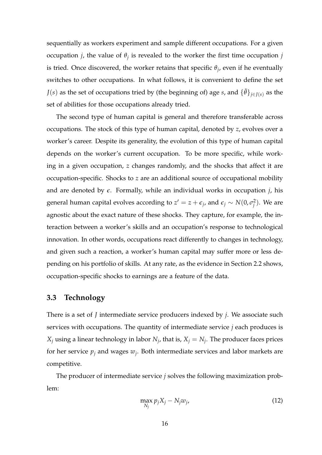sequentially as workers experiment and sample different occupations. For a given occupation *j*, the value of *θ<sup>j</sup>* is revealed to the worker the first time occupation *j* is tried. Once discovered, the worker retains that specific *θ<sup>j</sup>* , even if he eventually switches to other occupations. In what follows, it is convenient to define the set *J*(*s*) as the set of occupations tried by (the beginning of) age *s*, and  $\{\tilde{\theta}\}_{i\in I(s)}$  as the set of abilities for those occupations already tried.

The second type of human capital is general and therefore transferable across occupations. The stock of this type of human capital, denoted by *z*, evolves over a worker's career. Despite its generality, the evolution of this type of human capital depends on the worker's current occupation. To be more specific, while working in a given occupation, *z* changes randomly, and the shocks that affect it are occupation-specific. Shocks to *z* are an additional source of occupational mobility and are denoted by  $\epsilon$ . Formally, while an individual works in occupation *j*, his general human capital evolves according to  $z'=z+\epsilon_j$ , and  $\epsilon_j\sim N(0,\sigma_j^2)$  $\binom{2}{j}$ . We are agnostic about the exact nature of these shocks. They capture, for example, the interaction between a worker's skills and an occupation's response to technological innovation. In other words, occupations react differently to changes in technology, and given such a reaction, a worker's human capital may suffer more or less depending on his portfolio of skills. At any rate, as the evidence in Section 2.2 shows, occupation-specific shocks to earnings are a feature of the data.

## **3.3 Technology**

There is a set of *J* intermediate service producers indexed by *j*. We associate such services with occupations. The quantity of intermediate service *j* each produces is  $X_j$  using a linear technology in labor  $N_j$ , that is,  $X_j = N_j$ . The producer faces prices for her service *p<sup>j</sup>* and wages *w<sup>j</sup>* . Both intermediate services and labor markets are competitive.

The producer of intermediate service *j* solves the following maximization problem:

$$
\max_{N_j} p_j X_j - N_j w_j, \tag{12}
$$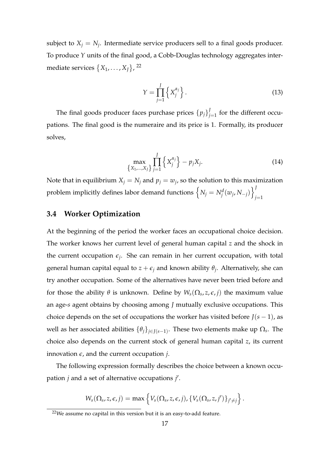subject to  $X_j = N_j$ . Intermediate service producers sell to a final goods producer. To produce *Y* units of the final good, a Cobb-Douglas technology aggregates intermediate services  $\{X_1, \ldots, X_J\}$ , <sup>22</sup>

$$
Y = \prod_{j=1}^{J} \left\{ X_j^{\alpha_j} \right\}.
$$
 (13)

The final goods producer faces purchase prices  $\{p_j\}^j_i$  $j_{=1}^{\prime}$  for the different occupations. The final good is the numeraire and its price is 1. Formally, its producer solves,

$$
\max_{\{X_1,...,X_J\}} \prod_{j=1}^J \left\{ X_j^{\alpha_j} \right\} - p_j X_j. \tag{14}
$$

Note that in equilibrium  $X_j = N_j$  and  $p_j = w_j$ , so the solution to this maximization problem implicitly defines labor demand functions  $\left\{ N_j = N_j^d(w_j, N_{-j}) \right\}_j^J$ *j*=1

### **3.4 Worker Optimization**

At the beginning of the period the worker faces an occupational choice decision. The worker knows her current level of general human capital *z* and the shock in the current occupation  $\epsilon_j$ . She can remain in her current occupation, with total general human capital equal to *z* + *ǫ<sup>j</sup>* and known ability *θ<sup>j</sup>* . Alternatively, she can try another occupation. Some of the alternatives have never been tried before and for those the ability  $\theta$  is unknown. Define by  $W_s(\Omega_s, z, \epsilon, j)$  the maximum value an age-*s* agent obtains by choosing among *J* mutually exclusive occupations. This choice depends on the set of occupations the worker has visited before  $J(s - 1)$ , as well as her associated abilities  $\{\theta_j\}_{j\in J(s-1)}$ . These two elements make up  $\Omega_s$ . The choice also depends on the current stock of general human capital *z*, its current innovation  $\epsilon$ , and the current occupation *j*.

The following expression formally describes the choice between a known occupation *j* and a set of alternative occupations *j* ′ .

$$
W_s(\Omega_s, z, \epsilon, j) = \max \left\{ V_s(\Omega_s, z, \epsilon, j), \{ V_s(\Omega_s, z, j') \}_{j' \neq j} \right\}.
$$

 $22$ We assume no capital in this version but it is an easy-to-add feature.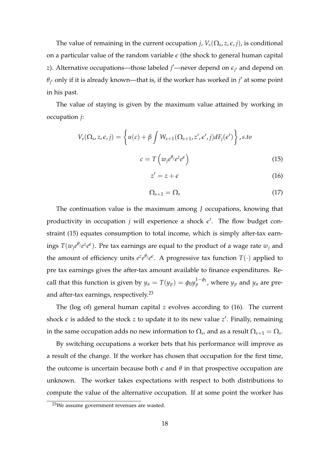The value of remaining in the current occupation *j*,  $V_s(\Omega_s, z, \epsilon, j)$ , is conditional on a particular value of the random variable  $\epsilon$  (the shock to general human capital *z*). Alternative occupations—those labeled *j'*—never depend on  $\epsilon_{j'}$  and depend on  $\theta_{j'}$  only if it is already known—that is, if the worker has worked in  $j'$  at some point in his past.

The value of staying is given by the maximum value attained by working in occupation *j*:

$$
V_s(\Omega_s, z, \epsilon, j) = \left\{ u(c) + \beta \int W_{s+1}(\Omega_{s+1}, z', \epsilon', j) dF_j(\epsilon') \right\}, s.to
$$
  

$$
c = T\left(w_j e^{\theta_j} e^z e^{\epsilon}\right)
$$
 (15)

$$
z' = z + \epsilon \tag{16}
$$

$$
\Omega_{s+1} = \Omega_s \tag{17}
$$

The continuation value is the maximum among *J* occupations, knowing that productivity in occupation  $j$  will experience a shock  $\epsilon'$ . The flow budget constraint (15) equates consumption to total income, which is simply after-tax earnings  $T(w_je^{\theta_j}e^z e^{\epsilon})$ . Pre tax earnings are equal to the product of a wage rate  $w_j$  and the amount of efficiency units  $e^{z}e^{\theta_{j}}e^{\epsilon}$ . A progressive tax function  $T(\cdot)$  applied to pre tax earnings gives the after-tax amount available to finance expenditures. Recall that this function is given by  $y_a = T(y_p) = \phi_0 y_p^{1-\phi_1}$ , where  $y_p$  and  $y_a$  are preand after-tax earnings, respectively.<sup>23</sup>

The (log of) general human capital *z* evolves according to (16). The current shock  $\epsilon$  is added to the stock *z* to update it to its new value  $z'$ . Finally, remaining in the same occupation adds no new information to  $\Omega_s$ , and as a result  $\Omega_{s+1}=\Omega_s.$ 

By switching occupations a worker bets that his performance will improve as a result of the change. If the worker has chosen that occupation for the first time, the outcome is uncertain because both  $\epsilon$  and  $\theta$  in that prospective occupation are unknown. The worker takes expectations with respect to both distributions to compute the value of the alternative occupation. If at some point the worker has

 $23$ We assume government revenues are wasted.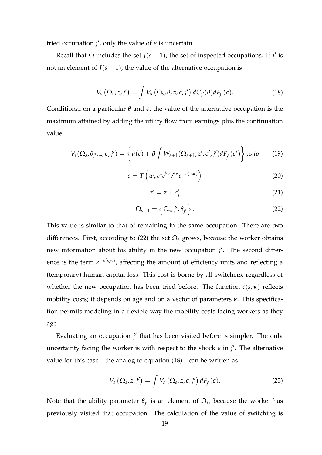tried occupation  $j'$ , only the value of  $\epsilon$  is uncertain.

Recall that  $\Omega$  includes the set *J*( $s - 1$ ), the set of inspected occupations. If *j'* is not an element of  $J(s-1)$ , the value of the alternative occupation is

$$
V_s\left(\Omega_s,z,j'\right)=\int V_s\left(\Omega_s,\theta,z,\epsilon,j'\right)dG_{j'}(\theta)dF_{j'}(\epsilon).
$$
 (18)

Conditional on a particular  $\theta$  and  $\epsilon$ , the value of the alternative occupation is the maximum attained by adding the utility flow from earnings plus the continuation value:

$$
V_s(\Omega_s, \theta_{j'}, z, \epsilon, j') = \left\{ u(c) + \beta \int W_{s+1}(\Omega_{s+1}, z', \epsilon', j') dF_{j'}(\epsilon') \right\}, s.to \qquad (19)
$$

$$
c = T\left(w_{j'}e^{z}e^{\theta_{j'}}e^{\epsilon_{j'}}e^{-c(s,\kappa)}\right)
$$
 (20)

$$
z' = z + \epsilon'_j \tag{21}
$$

$$
\Omega_{s+1} = \left\{ \Omega_s, j', \theta_{j'} \right\}.
$$
\n(22)

This value is similar to that of remaining in the same occupation. There are two differences. First, according to (22) the set  $\Omega$ <sub>s</sub> grows, because the worker obtains new information about his ability in the new occupation *j'*. The second differ*ence* is the term  $e^{-c(s,\kappa)}$ , affecting the amount of efficiency units and reflecting a (temporary) human capital loss. This cost is borne by all switchers, regardless of whether the new occupation has been tried before. The function  $c(s, \kappa)$  reflects mobility costs; it depends on age and on a vector of parameters *κ*. This specification permits modeling in a flexible way the mobility costs facing workers as they age.

Evaluating an occupation *j'* that has been visited before is simpler. The only uncertainty facing the worker is with respect to the shock  $\epsilon$  in  $j'$ . The alternative value for this case—the analog to equation (18)—can be written as

$$
V_s\left(\Omega_s,z,j'\right)=\int V_s\left(\Omega_s,z,\epsilon,j'\right)dF_{j'}(\epsilon). \hspace{1cm} (23)
$$

Note that the ability parameter  $\theta_{j'}$  is an element of  $\Omega_s$ , because the worker has previously visited that occupation. The calculation of the value of switching is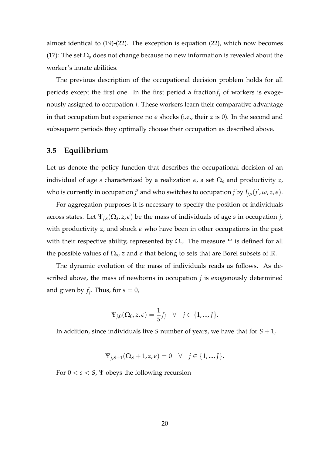almost identical to (19)-(22). The exception is equation (22), which now becomes (17): The set  $\Omega_s$  does not change because no new information is revealed about the worker's innate abilities.

The previous description of the occupational decision problem holds for all periods except the first one. In the first period a fraction $f_i$  of workers is exogenously assigned to occupation *j*. These workers learn their comparative advantage in that occupation but experience no  $\epsilon$  shocks (i.e., their *z* is 0). In the second and subsequent periods they optimally choose their occupation as described above.

### **3.5 Equilibrium**

Let us denote the policy function that describes the occupational decision of an individual of age *s* characterized by a realization  $\epsilon$ , a set  $\Omega$ <sub>s</sub> and productivity *z*, who is currently in occupation *j'* and who switches to occupation *j* by  $I_{j,s}(j', \omega, z, \epsilon)$ .

For aggregation purposes it is necessary to specify the position of individuals across states. Let Ψ*j*,*s*(Ω*<sup>s</sup>* , *z*, *ǫ*) be the mass of individuals of age *s* in occupation *j*, with productivity  $z$ , and shock  $\epsilon$  who have been in other occupations in the past with their respective ability, represented by  $\Omega_s$ . The measure  $\Psi$  is defined for all the possible values of  $\Omega_s$ , *z* and  $\epsilon$  that belong to sets that are Borel subsets of R.

The dynamic evolution of the mass of individuals reads as follows. As described above, the mass of newborns in occupation *j* is exogenously determined and given by  $f_j$ . Thus, for  $s=0$ ,

$$
\Psi_{j,0}(\Omega_0,z,\epsilon)=\frac{1}{S}f_j \quad \forall \quad j\in\{1,...,J\}.
$$

In addition, since individuals live *S* number of years, we have that for *S* + 1,

$$
\Psi_{j,S+1}(\Omega_S+1,z,\epsilon)=0 \quad \forall \quad j\in\{1,...,J\}.
$$

For  $0 < s < S$ ,  $\Psi$  obeys the following recursion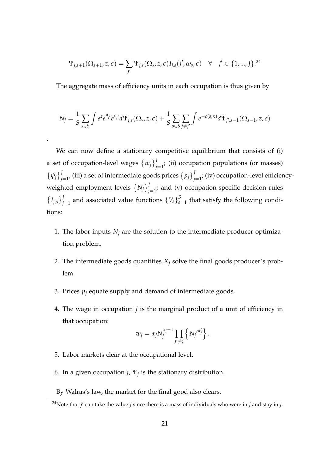$$
\Psi_{j,s+1}(\Omega_{s+1},z,\epsilon)=\sum_{j'}\Psi_{j,s}(\Omega_s,z,\epsilon)I_{j,s}(j',\omega_s,\epsilon) \quad \forall \quad j'\in\{1,...,J\}^{24}
$$

The aggregate mass of efficiency units in each occupation is thus given by

$$
N_j = \frac{1}{S} \sum_{s \in S} \int e^z e^{\theta_{j'}} e^{\epsilon_{j'}} d\Psi_{j,s}(\Omega_s, z, \epsilon) + \frac{1}{S} \sum_{s \in S} \sum_{j \neq j'} \int e^{-c(s,\kappa)} d\Psi_{j',s-1}(\Omega_{s-1}, z, \epsilon)
$$

We can now define a stationary competitive equilibrium that consists of (i) a set of occupation-level wages  $\{w_j\}_j^J$  $j_{j=1}^{\prime}$ ; (ii) occupation populations (or masses)  $\{\psi_j\}_i^J$  $J_{j=1}^J$ , (iii) a set of intermediate goods prices  $\left\{p_j\right\}_{j=1}^J$  $j_{j=1}^{\prime}$ ; (iv) occupation-level efficiencyweighted employment levels  $\{N_j\}_j^J$  $j_{j=1}^{\prime}$ ; and (v) occupation-specific decision rules  $\{I_{j,s}\}_{j}^{J}$  $J_{j=1}$  and associated value functions  $\{V_s\}_s^S$  $\int_{s=1}^{5}$  that satisfy the following conditions:

- 1. The labor inputs  $N_j$  are the solution to the intermediate producer optimization problem.
- 2. The intermediate goods quantities  $X_i$  solve the final goods producer's problem.
- 3. Prices  $p_j$  equate supply and demand of intermediate goods.
- 4. The wage in occupation *j* is the marginal product of a unit of efficiency in that occupation:

$$
w_j = \alpha_j N_j^{\alpha_j - 1} \prod_{j' \neq j} \left\{ N_j^{\prime \alpha_j'} \right\}.
$$

5. Labor markets clear at the occupational level.

.

- 6. In a given occupation  $j$ ,  $\Psi_j$  is the stationary distribution.
- By Walras's law, the market for the final good also clears.

<sup>24</sup>Note that *j* ′ can take the value *j* since there is a mass of individuals who were in *j* and stay in *j*.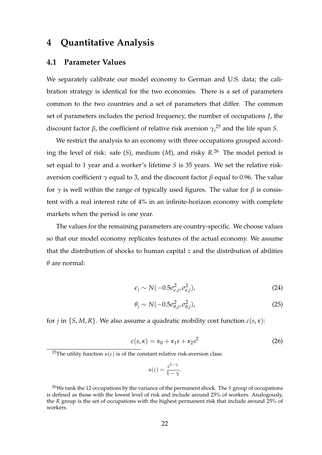## **4 Quantitative Analysis**

### **4.1 Parameter Values**

We separately calibrate our model economy to German and U.S. data; the calibration strategy is identical for the two economies. There is a set of parameters common to the two countries and a set of parameters that differ. The common set of parameters includes the period frequency, the number of occupations *J*, the discount factor *β*, the coefficient of relative risk aversion *γ*, <sup>25</sup> and the life span *S*.

We restrict the analysis to an economy with three occupations grouped according the level of risk: safe (*S*), medium (*M*), and risky *R*. <sup>26</sup> The model period is set equal to 1 year and a worker's lifetime *S* is 35 years. We set the relative riskaversion coefficient *γ* equal to 3, and the discount factor *β* equal to 0.96. The value for  $\gamma$  is well within the range of typically used figures. The value for  $\beta$  is consistent with a real interest rate of 4% in an infinite-horizon economy with complete markets when the period is one year.

The values for the remaining parameters are country-specific. We choose values so that our model economy replicates features of the actual economy. We assume that the distribution of shocks to human capital *z* and the distribution of abilities *θ* are normal:

$$
\epsilon_j \sim N(-0.5\sigma_{\epsilon,j}^2, \sigma_{\epsilon,j}^2),\tag{24}
$$

$$
\theta_j \sim N(-0.5\sigma_{\theta,j}^2, \sigma_{\theta,j}^2),\tag{25}
$$

for *j* in  $\{S, M, R\}$ . We also assume a quadratic mobility cost function  $c(s, \kappa)$ :

$$
c(s,\kappa) = \kappa_0 + \kappa_1 s + \kappa_2 s^2 \tag{26}
$$

$$
u(c) = \frac{c^{1-\gamma}}{1-\gamma}.
$$

<sup>&</sup>lt;sup>25</sup>The utility function  $u(c)$  is of the constant relative risk-aversion class:

<sup>26</sup>We rank the 12 occupations by the variance of the permanent shock. The *S* group of occupations is defined as those with the lowest level of risk and include around 25% of workers. Analogously, the *R* group is the set of occupations with the highest permanent risk that include around 25% of workers.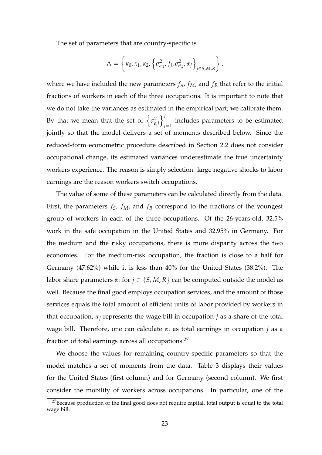The set of parameters that are country-specific is

$$
\Lambda = \left\{ \kappa_0, \kappa_1, \kappa_2, \left\{ \sigma_{\epsilon, j}^2, f_j, \sigma_{\theta, j}^2, \alpha_j \right\}_{j \in S, M, R} \right\},\
$$

where we have included the new parameters  $f_S$ ,  $f_M$ , and  $f_R$  that refer to the initial fractions of workers in each of the three occupations. It is important to note that we do not take the variances as estimated in the empirical part; we calibrate them. By that we mean that the set of  $\big\{\sigma_{\epsilon}^2$ *ǫ*,*j* o*J* includes parameters to be estimated  $j=1$ jointly so that the model delivers a set of moments described below. Since the reduced-form econometric procedure described in Section 2.2 does not consider occupational change, its estimated variances underestimate the true uncertainty workers experience. The reason is simply selection: large negative shocks to labor earnings are the reason workers switch occupations.

The value of some of these parameters can be calculated directly from the data. First, the parameters  $f_S$ ,  $f_M$ , and  $f_R$  correspond to the fractions of the youngest group of workers in each of the three occupations. Of the 26-years-old, 32.5% work in the safe occupation in the United States and 32.95% in Germany. For the medium and the risky occupations, there is more disparity across the two economies. For the medium-risk occupation, the fraction is close to a half for Germany (47.62%) while it is less than 40% for the United States (38.2%). The labor share parameters *α<sup>j</sup>* for *j* ∈ {*S*, *M*, *R*} can be computed outside the model as well. Because the final good employs occupation services, and the amount of those services equals the total amount of efficient units of labor provided by workers in that occupation,  $\alpha_i$  represents the wage bill in occupation *j* as a share of the total wage bill. Therefore, one can calculate *α<sup>j</sup>* as total earnings in occupation *j* as a fraction of total earnings across all occupations.<sup>27</sup>

We choose the values for remaining country-specific parameters so that the model matches a set of moments from the data. Table 3 displays their values for the United States (first column) and for Germany (second column). We first consider the mobility of workers across occupations. In particular, one of the

 $27$ Because production of the final good does not require capital, total output is equal to the total wage bill.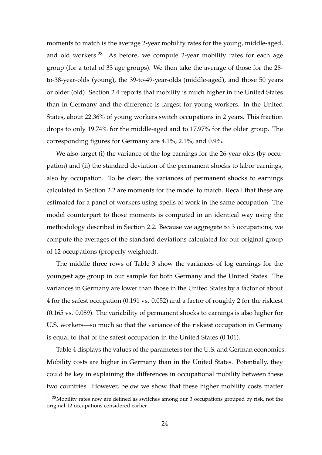moments to match is the average 2-year mobility rates for the young, middle-aged, and old workers. $28$  As before, we compute 2-year mobility rates for each age group (for a total of 33 age groups). We then take the average of those for the 28 to-38-year-olds (young), the 39-to-49-year-olds (middle-aged), and those 50 years or older (old). Section 2.4 reports that mobility is much higher in the United States than in Germany and the difference is largest for young workers. In the United States, about 22.36% of young workers switch occupations in 2 years. This fraction drops to only 19.74% for the middle-aged and to 17.97% for the older group. The corresponding figures for Germany are 4.1%, 2.1%, and 0.9%.

We also target (i) the variance of the log earnings for the 26-year-olds (by occupation) and (ii) the standard deviation of the permanent shocks to labor earnings, also by occupation. To be clear, the variances of permanent shocks to earnings calculated in Section 2.2 are moments for the model to match. Recall that these are estimated for a panel of workers using spells of work in the same occupation. The model counterpart to those moments is computed in an identical way using the methodology described in Section 2.2. Because we aggregate to 3 occupations, we compute the averages of the standard deviations calculated for our original group of 12 occupations (properly weighted).

The middle three rows of Table 3 show the variances of log earnings for the youngest age group in our sample for both Germany and the United States. The variances in Germany are lower than those in the United States by a factor of about 4 for the safest occupation (0.191 vs. 0.052) and a factor of roughly 2 for the riskiest (0.165 vs. 0.089). The variability of permanent shocks to earnings is also higher for U.S. workers—so much so that the variance of the riskiest occupation in Germany is equal to that of the safest occupation in the United States (0.101).

Table 4 displays the values of the parameters for the U.S. and German economies. Mobility costs are higher in Germany than in the United States. Potentially, they could be key in explaining the differences in occupational mobility between these two countries. However, below we show that these higher mobility costs matter

 $28$ Mobility rates now are defined as switches among our 3 occupations grouped by risk, not the original 12 occupations considered earlier.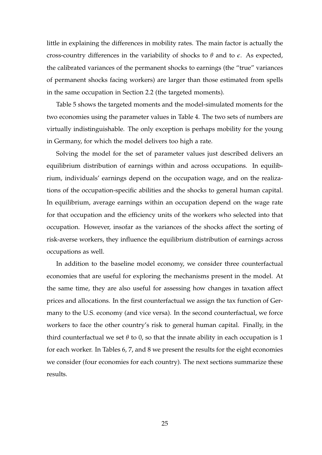little in explaining the differences in mobility rates. The main factor is actually the cross-country differences in the variability of shocks to  $\theta$  and to  $\epsilon$ . As expected, the calibrated variances of the permanent shocks to earnings (the "true" variances of permanent shocks facing workers) are larger than those estimated from spells in the same occupation in Section 2.2 (the targeted moments).

Table 5 shows the targeted moments and the model-simulated moments for the two economies using the parameter values in Table 4. The two sets of numbers are virtually indistinguishable. The only exception is perhaps mobility for the young in Germany, for which the model delivers too high a rate.

Solving the model for the set of parameter values just described delivers an equilibrium distribution of earnings within and across occupations. In equilibrium, individuals' earnings depend on the occupation wage, and on the realizations of the occupation-specific abilities and the shocks to general human capital. In equilibrium, average earnings within an occupation depend on the wage rate for that occupation and the efficiency units of the workers who selected into that occupation. However, insofar as the variances of the shocks affect the sorting of risk-averse workers, they influence the equilibrium distribution of earnings across occupations as well.

In addition to the baseline model economy, we consider three counterfactual economies that are useful for exploring the mechanisms present in the model. At the same time, they are also useful for assessing how changes in taxation affect prices and allocations. In the first counterfactual we assign the tax function of Germany to the U.S. economy (and vice versa). In the second counterfactual, we force workers to face the other country's risk to general human capital. Finally, in the third counterfactual we set  $\theta$  to 0, so that the innate ability in each occupation is 1 for each worker. In Tables 6, 7, and 8 we present the results for the eight economies we consider (four economies for each country). The next sections summarize these results.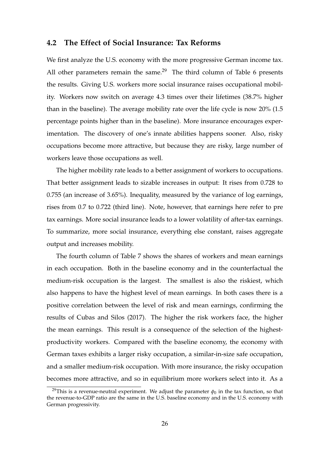### **4.2 The Effect of Social Insurance: Tax Reforms**

We first analyze the U.S. economy with the more progressive German income tax. All other parameters remain the same.<sup>29</sup> The third column of Table 6 presents the results. Giving U.S. workers more social insurance raises occupational mobility. Workers now switch on average 4.3 times over their lifetimes (38.7% higher than in the baseline). The average mobility rate over the life cycle is now 20% (1.5 percentage points higher than in the baseline). More insurance encourages experimentation. The discovery of one's innate abilities happens sooner. Also, risky occupations become more attractive, but because they are risky, large number of workers leave those occupations as well.

The higher mobility rate leads to a better assignment of workers to occupations. That better assignment leads to sizable increases in output: It rises from 0.728 to 0.755 (an increase of 3.65%). Inequality, measured by the variance of log earnings, rises from 0.7 to 0.722 (third line). Note, however, that earnings here refer to pre tax earnings. More social insurance leads to a lower volatility of after-tax earnings. To summarize, more social insurance, everything else constant, raises aggregate output and increases mobility.

The fourth column of Table 7 shows the shares of workers and mean earnings in each occupation. Both in the baseline economy and in the counterfactual the medium-risk occupation is the largest. The smallest is also the riskiest, which also happens to have the highest level of mean earnings. In both cases there is a positive correlation between the level of risk and mean earnings, confirming the results of Cubas and Silos (2017). The higher the risk workers face, the higher the mean earnings. This result is a consequence of the selection of the highestproductivity workers. Compared with the baseline economy, the economy with German taxes exhibits a larger risky occupation, a similar-in-size safe occupation, and a smaller medium-risk occupation. With more insurance, the risky occupation becomes more attractive, and so in equilibrium more workers select into it. As a

<sup>&</sup>lt;sup>29</sup>This is a revenue-neutral experiment. We adjust the parameter  $\phi_0$  in the tax function, so that the revenue-to-GDP ratio are the same in the U.S. baseline economy and in the U.S. economy with German progressivity.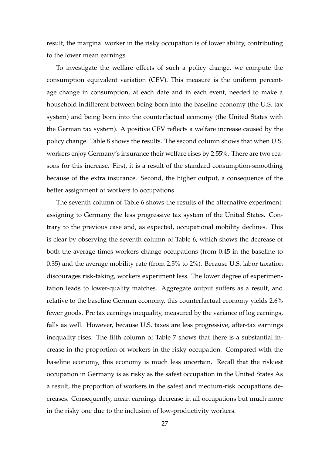result, the marginal worker in the risky occupation is of lower ability, contributing to the lower mean earnings.

To investigate the welfare effects of such a policy change, we compute the consumption equivalent variation (CEV). This measure is the uniform percentage change in consumption, at each date and in each event, needed to make a household indifferent between being born into the baseline economy (the U.S. tax system) and being born into the counterfactual economy (the United States with the German tax system). A positive CEV reflects a welfare increase caused by the policy change. Table 8 shows the results. The second column shows that when U.S. workers enjoy Germany's insurance their welfare rises by 2.55%. There are two reasons for this increase. First, it is a result of the standard consumption-smoothing because of the extra insurance. Second, the higher output, a consequence of the better assignment of workers to occupations.

The seventh column of Table 6 shows the results of the alternative experiment: assigning to Germany the less progressive tax system of the United States. Contrary to the previous case and, as expected, occupational mobility declines. This is clear by observing the seventh column of Table 6, which shows the decrease of both the average times workers change occupations (from 0.45 in the baseline to 0.35) and the average mobility rate (from 2.5% to 2%). Because U.S. labor taxation discourages risk-taking, workers experiment less. The lower degree of experimentation leads to lower-quality matches. Aggregate output suffers as a result, and relative to the baseline German economy, this counterfactual economy yields 2.6% fewer goods. Pre tax earnings inequality, measured by the variance of log earnings, falls as well. However, because U.S. taxes are less progressive, after-tax earnings inequality rises. The fifth column of Table 7 shows that there is a substantial increase in the proportion of workers in the risky occupation. Compared with the baseline economy, this economy is much less uncertain. Recall that the riskiest occupation in Germany is as risky as the safest occupation in the United States As a result, the proportion of workers in the safest and medium-risk occupations decreases. Consequently, mean earnings decrease in all occupations but much more in the risky one due to the inclusion of low-productivity workers.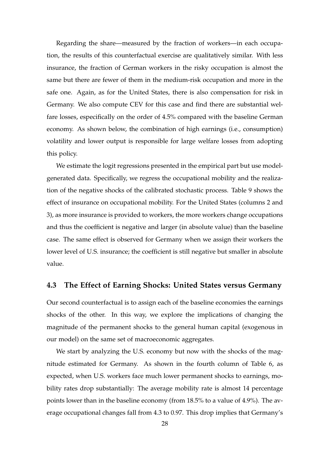Regarding the share—measured by the fraction of workers—in each occupation, the results of this counterfactual exercise are qualitatively similar. With less insurance, the fraction of German workers in the risky occupation is almost the same but there are fewer of them in the medium-risk occupation and more in the safe one. Again, as for the United States, there is also compensation for risk in Germany. We also compute CEV for this case and find there are substantial welfare losses, especifically on the order of 4.5% compared with the baseline German economy. As shown below, the combination of high earnings (i.e., consumption) volatility and lower output is responsible for large welfare losses from adopting this policy.

We estimate the logit regressions presented in the empirical part but use modelgenerated data. Specifically, we regress the occupational mobility and the realization of the negative shocks of the calibrated stochastic process. Table 9 shows the effect of insurance on occupational mobility. For the United States (columns 2 and 3), as more insurance is provided to workers, the more workers change occupations and thus the coefficient is negative and larger (in absolute value) than the baseline case. The same effect is observed for Germany when we assign their workers the lower level of U.S. insurance; the coefficient is still negative but smaller in absolute value.

### **4.3 The Effect of Earning Shocks: United States versus Germany**

Our second counterfactual is to assign each of the baseline economies the earnings shocks of the other. In this way, we explore the implications of changing the magnitude of the permanent shocks to the general human capital (exogenous in our model) on the same set of macroeconomic aggregates.

We start by analyzing the U.S. economy but now with the shocks of the magnitude estimated for Germany. As shown in the fourth column of Table 6, as expected, when U.S. workers face much lower permanent shocks to earnings, mobility rates drop substantially: The average mobility rate is almost 14 percentage points lower than in the baseline economy (from 18.5% to a value of 4.9%). The average occupational changes fall from 4.3 to 0.97. This drop implies that Germany's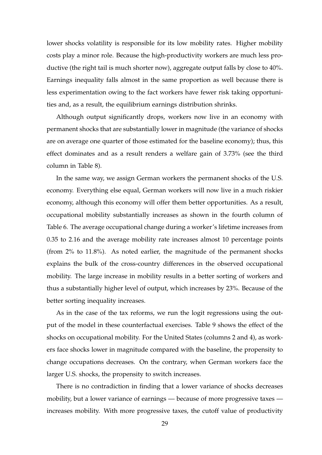lower shocks volatility is responsible for its low mobility rates. Higher mobility costs play a minor role. Because the high-productivity workers are much less productive (the right tail is much shorter now), aggregate output falls by close to 40%. Earnings inequality falls almost in the same proportion as well because there is less experimentation owing to the fact workers have fewer risk taking opportunities and, as a result, the equilibrium earnings distribution shrinks.

Although output significantly drops, workers now live in an economy with permanent shocks that are substantially lower in magnitude (the variance of shocks are on average one quarter of those estimated for the baseline economy); thus, this effect dominates and as a result renders a welfare gain of 3.73% (see the third column in Table 8).

In the same way, we assign German workers the permanent shocks of the U.S. economy. Everything else equal, German workers will now live in a much riskier economy, although this economy will offer them better opportunities. As a result, occupational mobility substantially increases as shown in the fourth column of Table 6. The average occupational change during a worker's lifetime increases from 0.35 to 2.16 and the average mobility rate increases almost 10 percentage points (from 2% to 11.8%). As noted earlier, the magnitude of the permanent shocks explains the bulk of the cross-country differences in the observed occupational mobility. The large increase in mobility results in a better sorting of workers and thus a substantially higher level of output, which increases by 23%. Because of the better sorting inequality increases.

As in the case of the tax reforms, we run the logit regressions using the output of the model in these counterfactual exercises. Table 9 shows the effect of the shocks on occupational mobility. For the United States (columns 2 and 4), as workers face shocks lower in magnitude compared with the baseline, the propensity to change occupations decreases. On the contrary, when German workers face the larger U.S. shocks, the propensity to switch increases.

There is no contradiction in finding that a lower variance of shocks decreases mobility, but a lower variance of earnings — because of more progressive taxes increases mobility. With more progressive taxes, the cutoff value of productivity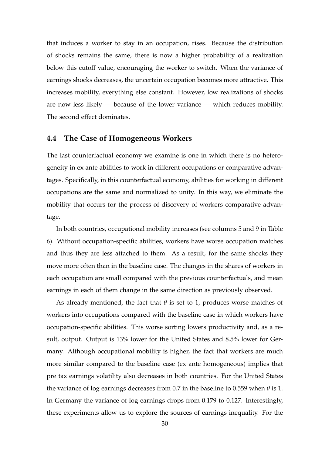that induces a worker to stay in an occupation, rises. Because the distribution of shocks remains the same, there is now a higher probability of a realization below this cutoff value, encouraging the worker to switch. When the variance of earnings shocks decreases, the uncertain occupation becomes more attractive. This increases mobility, everything else constant. However, low realizations of shocks are now less likely — because of the lower variance — which reduces mobility. The second effect dominates.

#### **4.4 The Case of Homogeneous Workers**

The last counterfactual economy we examine is one in which there is no heterogeneity in ex ante abilities to work in different occupations or comparative advantages. Specifically, in this counterfactual economy, abilities for working in different occupations are the same and normalized to unity. In this way, we eliminate the mobility that occurs for the process of discovery of workers comparative advantage.

In both countries, occupational mobility increases (see columns 5 and 9 in Table 6). Without occupation-specific abilities, workers have worse occupation matches and thus they are less attached to them. As a result, for the same shocks they move more often than in the baseline case. The changes in the shares of workers in each occupation are small compared with the previous counterfactuals, and mean earnings in each of them change in the same direction as previously observed.

As already mentioned, the fact that  $\theta$  is set to 1, produces worse matches of workers into occupations compared with the baseline case in which workers have occupation-specific abilities. This worse sorting lowers productivity and, as a result, output. Output is 13% lower for the United States and 8.5% lower for Germany. Although occupational mobility is higher, the fact that workers are much more similar compared to the baseline case (ex ante homogeneous) implies that pre tax earnings volatility also decreases in both countries. For the United States the variance of log earnings decreases from 0.7 in the baseline to 0.559 when *θ* is 1. In Germany the variance of log earnings drops from 0.179 to 0.127. Interestingly, these experiments allow us to explore the sources of earnings inequality. For the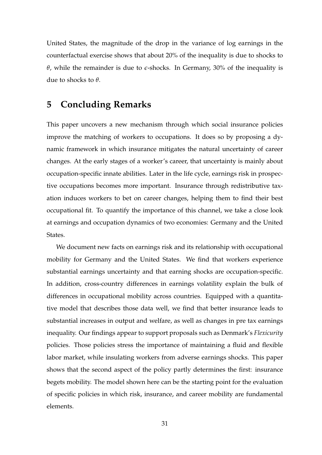United States, the magnitude of the drop in the variance of log earnings in the counterfactual exercise shows that about 20% of the inequality is due to shocks to *θ*, while the remainder is due to  $ε$ -shocks. In Germany, 30% of the inequality is due to shocks to *θ*.

### **5 Concluding Remarks**

This paper uncovers a new mechanism through which social insurance policies improve the matching of workers to occupations. It does so by proposing a dynamic framework in which insurance mitigates the natural uncertainty of career changes. At the early stages of a worker's career, that uncertainty is mainly about occupation-specific innate abilities. Later in the life cycle, earnings risk in prospective occupations becomes more important. Insurance through redistributive taxation induces workers to bet on career changes, helping them to find their best occupational fit. To quantify the importance of this channel, we take a close look at earnings and occupation dynamics of two economies: Germany and the United States.

We document new facts on earnings risk and its relationship with occupational mobility for Germany and the United States. We find that workers experience substantial earnings uncertainty and that earning shocks are occupation-specific. In addition, cross-country differences in earnings volatility explain the bulk of differences in occupational mobility across countries. Equipped with a quantitative model that describes those data well, we find that better insurance leads to substantial increases in output and welfare, as well as changes in pre tax earnings inequality. Our findings appear to support proposals such as Denmark's *Flexicurity* policies. Those policies stress the importance of maintaining a fluid and flexible labor market, while insulating workers from adverse earnings shocks. This paper shows that the second aspect of the policy partly determines the first: insurance begets mobility. The model shown here can be the starting point for the evaluation of specific policies in which risk, insurance, and career mobility are fundamental elements.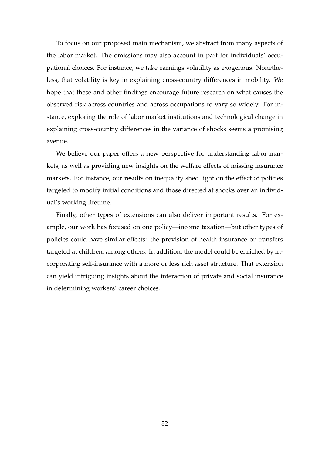To focus on our proposed main mechanism, we abstract from many aspects of the labor market. The omissions may also account in part for individuals' occupational choices. For instance, we take earnings volatility as exogenous. Nonetheless, that volatility is key in explaining cross-country differences in mobility. We hope that these and other findings encourage future research on what causes the observed risk across countries and across occupations to vary so widely. For instance, exploring the role of labor market institutions and technological change in explaining cross-country differences in the variance of shocks seems a promising avenue.

We believe our paper offers a new perspective for understanding labor markets, as well as providing new insights on the welfare effects of missing insurance markets. For instance, our results on inequality shed light on the effect of policies targeted to modify initial conditions and those directed at shocks over an individual's working lifetime.

Finally, other types of extensions can also deliver important results. For example, our work has focused on one policy—income taxation—but other types of policies could have similar effects: the provision of health insurance or transfers targeted at children, among others. In addition, the model could be enriched by incorporating self-insurance with a more or less rich asset structure. That extension can yield intriguing insights about the interaction of private and social insurance in determining workers' career choices.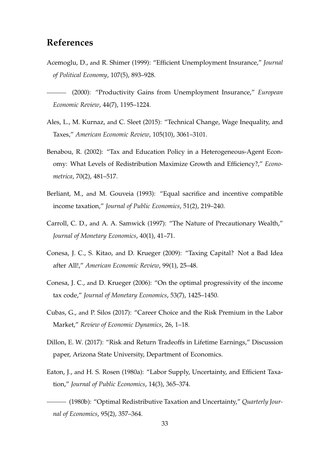## **References**

- Acemoglu, D., and R. Shimer (1999): "Efficient Unemployment Insurance," *Journal of Political Economy*, 107(5), 893–928.
- (2000): "Productivity Gains from Unemployment Insurance," *European Economic Review*, 44(7), 1195–1224.
- Ales, L., M. Kurnaz, and C. Sleet (2015): "Technical Change, Wage Inequality, and Taxes," *American Economic Review*, 105(10), 3061–3101.
- Benabou, R. (2002): "Tax and Education Policy in a Heterogeneous-Agent Economy: What Levels of Redistribution Maximize Growth and Efficiency?," *Econometrica*, 70(2), 481–517.
- Berliant, M., and M. Gouveia (1993): "Equal sacrifice and incentive compatible income taxation," *Journal of Public Economics*, 51(2), 219–240.
- Carroll, C. D., and A. A. Samwick (1997): "The Nature of Precautionary Wealth," *Journal of Monetary Economics*, 40(1), 41–71.
- Conesa, J. C., S. Kitao, and D. Krueger (2009): "Taxing Capital? Not a Bad Idea after All!," *American Economic Review*, 99(1), 25–48.
- Conesa, J. C., and D. Krueger (2006): "On the optimal progressivity of the income tax code," *Journal of Monetary Economics*, 53(7), 1425–1450.
- Cubas, G., and P. Silos (2017): "Career Choice and the Risk Premium in the Labor Market," *Review of Economic Dynamics*, 26, 1–18.
- Dillon, E. W. (2017): "Risk and Return Tradeoffs in Lifetime Earnings," Discussion paper, Arizona State University, Department of Economics.
- Eaton, J., and H. S. Rosen (1980a): "Labor Supply, Uncertainty, and Efficient Taxation," *Journal of Public Economics*, 14(3), 365–374.

(1980b): "Optimal Redistributive Taxation and Uncertainty," *Quarterly Journal of Economics*, 95(2), 357–364.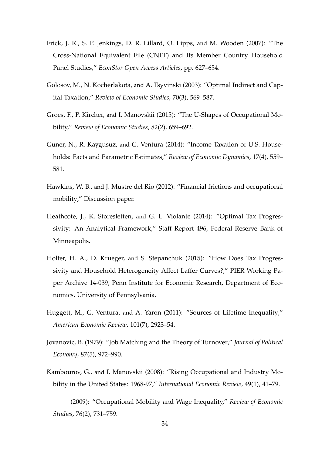- Frick, J. R., S. P. Jenkings, D. R. Lillard, O. Lipps, and M. Wooden (2007): "The Cross-National Equivalent File (CNEF) and Its Member Country Household Panel Studies," *EconStor Open Access Articles*, pp. 627–654.
- Golosov, M., N. Kocherlakota, and A. Tsyvinski (2003): "Optimal Indirect and Capital Taxation," *Review of Economic Studies*, 70(3), 569–587.
- Groes, F., P. Kircher, and I. Manovskii (2015): "The U-Shapes of Occupational Mobility," *Review of Economic Studies*, 82(2), 659–692.
- Guner, N., R. Kaygusuz, and G. Ventura (2014): "Income Taxation of U.S. Households: Facts and Parametric Estimates," *Review of Economic Dynamics*, 17(4), 559– 581.
- Hawkins, W. B., and J. Mustre del Rio (2012): "Financial frictions and occupational mobility," Discussion paper.
- Heathcote, J., K. Storesletten, and G. L. Violante (2014): "Optimal Tax Progressivity: An Analytical Framework," Staff Report 496, Federal Reserve Bank of Minneapolis.
- Holter, H. A., D. Krueger, and S. Stepanchuk (2015): "How Does Tax Progressivity and Household Heterogeneity Affect Laffer Curves?," PIER Working Paper Archive 14-039, Penn Institute for Economic Research, Department of Economics, University of Pennsylvania.
- Huggett, M., G. Ventura, and A. Yaron (2011): "Sources of Lifetime Inequality," *American Economic Review*, 101(7), 2923–54.
- Jovanovic, B. (1979): "Job Matching and the Theory of Turnover," *Journal of Political Economy*, 87(5), 972–990.
- Kambourov, G., and I. Manovskii (2008): "Rising Occupational and Industry Mobility in the United States: 1968-97," *International Economic Review*, 49(1), 41–79.

<sup>(2009): &</sup>quot;Occupational Mobility and Wage Inequality," *Review of Economic Studies*, 76(2), 731–759.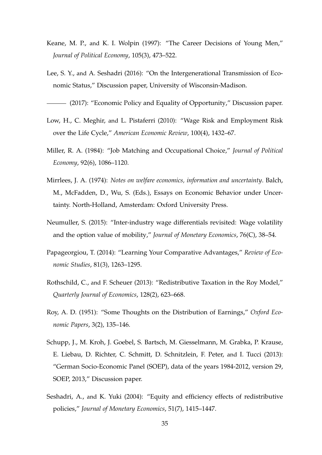- Keane, M. P., and K. I. Wolpin (1997): "The Career Decisions of Young Men," *Journal of Political Economy*, 105(3), 473–522.
- Lee, S. Y., and A. Seshadri (2016): "On the Intergenerational Transmission of Economic Status," Discussion paper, University of Wisconsin-Madison.

(2017): "Economic Policy and Equality of Opportunity," Discussion paper.

- Low, H., C. Meghir, and L. Pistaferri (2010): "Wage Risk and Employment Risk over the Life Cycle," *American Economic Review*, 100(4), 1432–67.
- Miller, R. A. (1984): "Job Matching and Occupational Choice," *Journal of Political Economy*, 92(6), 1086–1120.
- Mirrlees, J. A. (1974): *Notes on welfare economics, information and uncertainty*. Balch, M., McFadden, D., Wu, S. (Eds.), Essays on Economic Behavior under Uncertainty. North-Holland, Amsterdam: Oxford University Press.
- Neumuller, S. (2015): "Inter-industry wage differentials revisited: Wage volatility and the option value of mobility," *Journal of Monetary Economics*, 76(C), 38–54.
- Papageorgiou, T. (2014): "Learning Your Comparative Advantages," *Review of Economic Studies*, 81(3), 1263–1295.
- Rothschild, C., and F. Scheuer (2013): "Redistributive Taxation in the Roy Model," *Quarterly Journal of Economics*, 128(2), 623–668.
- Roy, A. D. (1951): "Some Thoughts on the Distribution of Earnings," *Oxford Economic Papers*, 3(2), 135–146.
- Schupp, J., M. Kroh, J. Goebel, S. Bartsch, M. Giesselmann, M. Grabka, P. Krause, E. Liebau, D. Richter, C. Schmitt, D. Schnitzlein, F. Peter, and I. Tucci (2013): "German Socio-Economic Panel (SOEP), data of the years 1984-2012, version 29, SOEP, 2013," Discussion paper.
- Seshadri, A., and K. Yuki (2004): "Equity and efficiency effects of redistributive policies," *Journal of Monetary Economics*, 51(7), 1415–1447.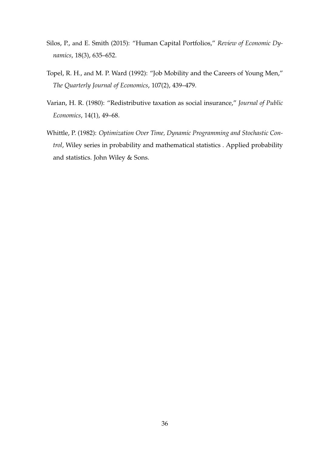- Silos, P., and E. Smith (2015): "Human Capital Portfolios," *Review of Economic Dynamics*, 18(3), 635–652.
- Topel, R. H., and M. P. Ward (1992): "Job Mobility and the Careers of Young Men," *The Quarterly Journal of Economics*, 107(2), 439–479.
- Varian, H. R. (1980): "Redistributive taxation as social insurance," *Journal of Public Economics*, 14(1), 49–68.
- Whittle, P. (1982): *Optimization Over Time, Dynamic Programming and Stochastic Control*, Wiley series in probability and mathematical statistics . Applied probability and statistics. John Wiley & Sons.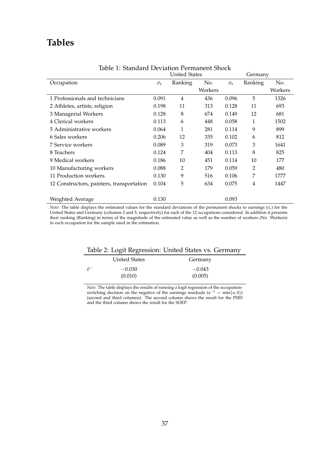## **Tables**

|                                           |                     | <b>United States</b> |         |                     | Germany        |         |
|-------------------------------------------|---------------------|----------------------|---------|---------------------|----------------|---------|
| Occupation                                | $\sigma_{\epsilon}$ | Ranking              | No.     | $\sigma_{\epsilon}$ | Ranking        | No.     |
|                                           |                     |                      | Workers |                     |                | Workers |
| 1 Professionals and technicians           | 0.091               | $\overline{4}$       | 436     | 0.096               | 5              | 1326    |
| 2 Athletes, artists, religion             | 0.198               | 11                   | 313     | 0.128               | 11             | 693     |
| 3 Managerial Workers                      | 0.128               | 8                    | 674     | 0.149               | 12             | 681     |
| 4 Clerical workers                        | 0.113               | 6                    | 448     | 0.058               | 1              | 1502    |
| 5 Administrative workers                  | 0.064               | 1                    | 281     | 0.114               | 9              | 899     |
| 6 Sales workers                           | 0.206               | 12                   | 335     | 0.102               | 6              | 812     |
| 7 Service workers                         | 0.089               | 3                    | 319     | 0.073               | 3              | 1641    |
| 8 Teachers                                | 0.124               | 7                    | 404     | 0.113               | 8              | 825     |
| 9 Medical workers                         | 0.186               | 10                   | 451     | 0.114               | 10             | 177     |
| 10 Manufacturing workers                  | 0.088               | $\overline{2}$       | 179     | 0.059               | $\overline{2}$ | 480     |
| 11 Production workers.                    | 0.130               | 9                    | 516     | 0.106               | 7              | 1777    |
| 12 Constructors, painters, transportation | 0.104               | 5                    | 634     | 0.075               | 4              | 1447    |
|                                           |                     |                      |         |                     |                |         |
| Weighted Average                          | 0.130               |                      |         | 0.093               |                |         |

#### Table 1: Standard Deviation Permanent Shock

*Note*: The table displays the estimated values for the standard deviations of the permanent shocks to earnings (*σ*<sup>*<sub>ε</sub>*) for the</sup> United States and Germany (columns 2 and 5, respectively) for each of the 12 occupations considered. In addition it presents their ranking (Ranking) in terms of the magnitude of the estimated value as well as the number of workers (No. Workers) in each occupation for the sample used in the estimation.

|  | Table 2: Logit Regression: United States vs. Germany |  |  |
|--|------------------------------------------------------|--|--|
|  |                                                      |  |  |

|             | <b>United States</b> | Germany  |
|-------------|----------------------|----------|
| $\hat{v}^-$ | $-0.030$             | $-0.043$ |
|             | (0.010)              | (0.005)  |

*Note*: The table displays the results of running a logit regression of the occupationswitching decision on the negative of the earnings residuals  $(u^{-1} = min{u, 0})$ (second and third columns). The second column shows the result for the PSID and the third column shows the result for the SOEP.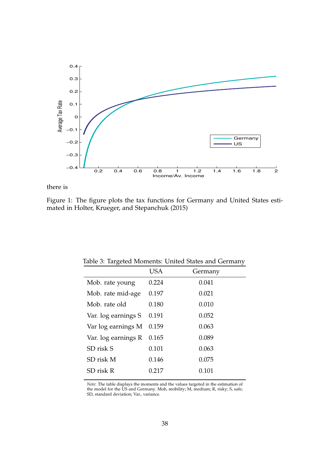

there is

Figure 1: The figure plots the tax functions for Germany and United States estimated in Holter, Krueger, and Stepanchuk (2015)

|                     | <b>USA</b> | Germany |
|---------------------|------------|---------|
| Mob. rate young     | 0.224      | 0.041   |
| Mob. rate mid-age   | 0.197      | 0.021   |
| Mob. rate old       | 0.180      | 0.010   |
| Var. log earnings S | 0.191      | 0.052   |
| Var log earnings M  | 0.159      | 0.063   |
| Var. log earnings R | 0.165      | 0.089   |
| SD risk S           | 0.101      | 0.063   |
| SD risk M           | 0.146      | 0.075   |
| SD risk R           | 0.217      | 0.101   |

Table 3: Targeted Moments: United States and Germany

*Note*: The table displays the moments and the values targeted in the estimation of the model for the US and Germany. Mob, mobility; M, medium; R, risky; S, safe; SD, standard deviation; Var., variance.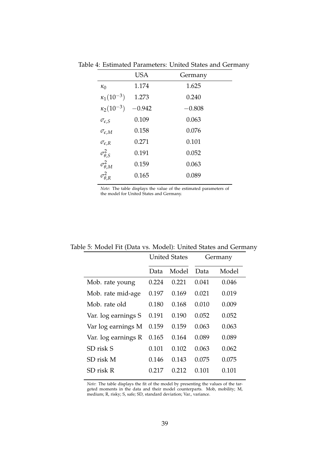|                       | <b>USA</b> | Germany  |
|-----------------------|------------|----------|
| $\kappa_0$            | 1.174      | 1.625    |
| $\kappa_1(10^{-3})$   | 1.273      | 0.240    |
| $\kappa_2(10^{-3})$   | $-0.942$   | $-0.808$ |
| $\sigma_{\epsilon,S}$ | 0.109      | 0.063    |
| $\sigma_{\epsilon,M}$ | 0.158      | 0.076    |
| $\sigma_{\epsilon,R}$ | 0.271      | 0.101    |
| $\sigma_{\theta,S}^2$ | 0.191      | 0.052    |
| $\sigma^2_{\theta,M}$ | 0.159      | 0.063    |
| $\sigma_{\theta,R}^2$ | 0.165      | 0.089    |
|                       |            |          |

Table 4: Estimated Parameters: United States and Germany

*Note*: The table displays the value of the estimated parameters of the model for United States and Germany.

|                     |       | <b>United States</b> |       | Germany |
|---------------------|-------|----------------------|-------|---------|
|                     | Data  | Model                | Data  | Model   |
| Mob. rate young     | 0.224 | 0.221                | 0.041 | 0.046   |
| Mob. rate mid-age   | 0.197 | 0.169                | 0.021 | 0.019   |
| Mob. rate old       | 0.180 | 0.168                | 0.010 | 0.009   |
| Var. log earnings S | 0.191 | 0.190                | 0.052 | 0.052   |
| Var log earnings M  | 0.159 | 0.159                | 0.063 | 0.063   |
| Var. log earnings R | 0.165 | 0.164                | 0.089 | 0.089   |
| SD risk S           | 0.101 | 0.102                | 0.063 | 0.062   |
| SD risk M           | 0.146 | 0.143                | 0.075 | 0.075   |
| SD risk R           | 0.217 | 0.212                | 0.101 | 0.101   |

Table 5: Model Fit (Data vs. Model): United States and Germany

*Note*: The table displays the fit of the model by presenting the values of the targeted moments in the data and their model counterparts. Mob, mobility; M, medium; R, risky; S, safe; SD, standard deviation; Var., variance.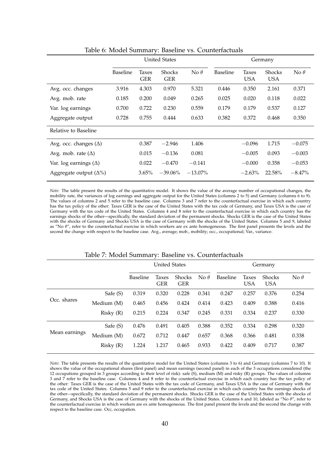|                                | <b>United States</b> |                     |                             | Germany     |                 |                     |                             |             |
|--------------------------------|----------------------|---------------------|-----------------------------|-------------|-----------------|---------------------|-----------------------------|-------------|
|                                | <b>Baseline</b>      | Taxes<br><b>GER</b> | <b>Shocks</b><br><b>GER</b> | No $\theta$ | <b>Baseline</b> | Taxes<br><b>USA</b> | <b>Shocks</b><br><b>USA</b> | No $\theta$ |
| Avg. occ. changes              | 3.916                | 4.303               | 0.970                       | 5.321       | 0.446           | 0.350               | 2.161                       | 0.371       |
| Avg. mob. rate                 | 0.185                | 0.200               | 0.049                       | 0.265       | 0.025           | 0.020               | 0.118                       | 0.022       |
| Var. log earnings              | 0.700                | 0.722               | 0.230                       | 0.559       | 0.179           | 0.179               | 0.537                       | 0.127       |
| Aggregate output               | 0.728                | 0.755               | 0.444                       | 0.633       | 0.382           | 0.372               | 0.468                       | 0.350       |
| Relative to Baseline           |                      |                     |                             |             |                 |                     |                             |             |
| Avg. occ. changes $(\Delta)$   |                      | 0.387               | $-2.946$                    | 1.406       |                 | $-0.096$            | 1.715                       | $-0.075$    |
| Avg. mob. rate $(\Delta)$      |                      | 0.015               | $-0.136$                    | 0.081       |                 | $-0.005$            | 0.093                       | $-0.003$    |
| Var. $log$ earnings $(\Delta)$ |                      | 0.022               | $-0.470$                    | $-0.141$    |                 | $-0.000$            | 0.358                       | $-0.053$    |
| Aggregate output $(\Delta\%)$  |                      | 3.65%               | $-39.06\%$                  | $-13.07\%$  |                 | $-2.63\%$           | 22.58%                      | $-8.47\%$   |

Table 6: Model Summary: Baseline vs. Counterfactuals

*Note*: The table present the results of the quantitative model. It shows the value of the average number of occupational changes, the mobility rate, the variances of log earnings and aggregate output for the United States (columns 2 to 5) and Germany (columns 6 to 9). The values of columns 2 and 5 refer to the baseline case. Columns 3 and 7 refer to the counterfactual exercise in which each country has the tax policy of the other: Taxes GER is the case of the United States with the tax code of Germany, and Taxes USA is the case of Germany with the tax code of the United States. Columns 4 and 8 refer to the counterfactual exercise in which each country has the earnings shocks of the other—specifically, the standard deviation of the permanent shocks. Shocks GER is the case of the United States with the shocks of Germany and Shocks USA is the case of Germany with the shocks of the United States. Columns 5 and 9, labeled as "No *θ*", refer to the counterfactual exercise in which workers are ex ante homogeneous. The first panel presents the levels and the second the change with respect to the baseline case. Avg., average; mob., mobility; occ., occupational; Var., variance.

|               |            | <b>United States</b> |                     |                             | Germany     |                 |                     |                             |             |
|---------------|------------|----------------------|---------------------|-----------------------------|-------------|-----------------|---------------------|-----------------------------|-------------|
|               |            | <b>Baseline</b>      | Taxes<br><b>GER</b> | <b>Shocks</b><br><b>GER</b> | No $\theta$ | <b>Baseline</b> | Taxes<br><b>USA</b> | <b>Shocks</b><br><b>USA</b> | No $\theta$ |
|               | Safe (S)   | 0.319                | 0.320               | 0.228                       | 0.341       | 0.247           | 0.257               | 0.376                       | 0.254       |
| Occ. shares   | Medium (M) | 0.465                | 0.456               | 0.424                       | 0.414       | 0.423           | 0.409               | 0.388                       | 0.416       |
|               | Risky(R)   | 0.215                | 0.224               | 0.347                       | 0.245       | 0.331           | 0.334               | 0.237                       | 0.330       |
| Mean earnings | Safe (S)   | 0.476                | 0.491               | 0.405                       | 0.388       | 0.352           | 0.334               | 0.298                       | 0.320       |
|               | Medium (M) | 0.672                | 0.712               | 0.447                       | 0.657       | 0.368           | 0.366               | 0.481                       | 0.338       |
|               | Risky(R)   | 1.224                | 1.217               | 0.465                       | 0.933       | 0.422           | 0.409               | 0.717                       | 0.387       |

#### Table 7: Model Summary: Baseline vs. Counterfactuals

*Note*: The table presents the results of the quantitative model for the United States (columns 3 to 6) and Germany (columns 7 to 10). It shows the value of the occupational shares (first panel) and mean earnings (second panel) in each of the 3 occupations considered (the 12 occupations grouped in 3 groups according to their level of risk): safe (S), medium (M) and risky (R) groups. The values of columns 3 and 7 refer to the baseline case. Columns 4 and 8 refer to the counterfactual exercise in which each country has the tax policy of the other: Taxes GER is the case of the United States with the tax code of Germany, and Taxes USA is the case of Germany with the tax code of the United States. Columns 5 and 9 refer to the counterfactual exercise in which each country has the earnings shocks of the other—specifically, the standard deviation of the permanent shocks. Shocks GER is the case of the United States with the shocks of Germany, and Shocks USA is the case of Germany with the shocks of the United States. Columns 6 and 10, labeled as "No *θ*", refer to the counterfactual exercise in which workers are ex ante homogeneous. The first panel present the levels and the second the change with respect to the baseline case. Occ, occupation.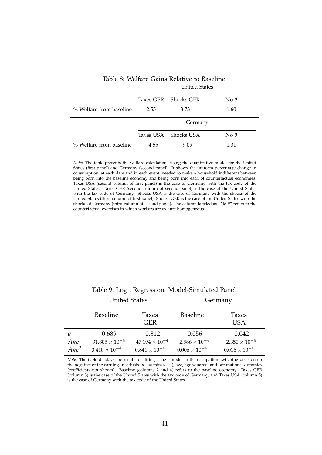| Table 8: Welfare Gains Relative to Baseline |                                               |                      |             |  |  |  |
|---------------------------------------------|-----------------------------------------------|----------------------|-------------|--|--|--|
|                                             |                                               | <b>United States</b> |             |  |  |  |
|                                             | <b>Shocks GER</b><br>No $\theta$<br>Taxes GER |                      |             |  |  |  |
| % Welfare from baseline                     | 2.55                                          | 3.73                 | 1.60        |  |  |  |
|                                             | Germany                                       |                      |             |  |  |  |
|                                             | Taxes USA                                     | Shocks USA           | No $\theta$ |  |  |  |
| % Welfare from baseline                     | $-4.55$                                       | $-9.09$              | 1.31        |  |  |  |

*Note*: The table presents the welfare calculations using the quantitative model for the United States (first panel) and Germany (second panel). It shows the uniform percentage change in consumption, at each date and in each event, needed to make a household indifferent between being born into the baseline economy and being born into each of counterfactual economies. Taxes USA (second column of first panel) is the case of Germany with the tax code of the United States. Taxes GER (second column of second panel) is the case of the United States with the tax code of Germany. Shocks USA is the case of Germany with the shocks of the United States (third column of first panel). Shocks GER is the case of the United States with the shocks of Germany (third column of second panel). The column labeled as "No *θ*" refers to the counterfactual exercises in which workers are ex ante homogeneous.

|                  |                          | <b>United States</b>     |                         | Germany                 |
|------------------|--------------------------|--------------------------|-------------------------|-------------------------|
|                  | <b>Baseline</b>          | Taxes<br><b>GER</b>      | <b>Baseline</b>         | Taxes<br><b>USA</b>     |
| $u^-$            | $-0.689$                 | $-0.812$                 | $-0.056$                | $-0.042$                |
| Age <sup>2</sup> | $-31.805 \times 10^{-4}$ | $-47.194 \times 10^{-4}$ | $-2.586 \times 10^{-4}$ | $-2.350 \times 10^{-4}$ |
|                  | $0.410 \times 10^{-4}$   | $0.841 \times 10^{-4}$   | $0.006 \times 10^{-4}$  | $0.016 \times 10^{-4}$  |

Table 9: Logit Regression: Model-Simulated Panel

*Note*: The table displays the results of fitting a logit model to the occupation-switching decision on the negative of the earnings residuals ( $u^- = min\{u, 0\}$ ), age, age squared, and occupational dummies (coefficients not shown). Baseline (columns 2 and 4) refers to the baseline economy. Taxes GER (column 3) is the case of the United States with the tax code of Germany, and Taxes USA (column 5) is the case of Germany with the tax code of the United States.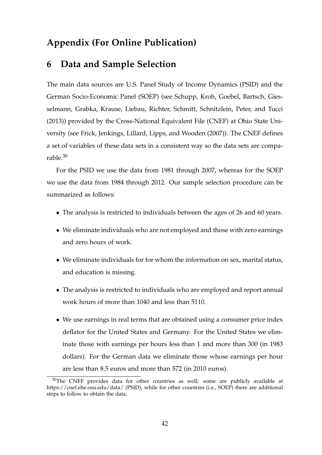## **Appendix (For Online Publication)**

### **6 Data and Sample Selection**

The main data sources are U.S. Panel Study of Income Dynamics (PSID) and the German Socio-Economic Panel (SOEP) (see Schupp, Kroh, Goebel, Bartsch, Giesselmann, Grabka, Krause, Liebau, Richter, Schmitt, Schnitzlein, Peter, and Tucci (2013)) provided by the Cross-National Equivalent File (CNEF) at Ohio State University (see Frick, Jenkings, Lillard, Lipps, and Wooden (2007)). The CNEF defines a set of variables of these data sets in a consistent way so the data sets are comparable.<sup>30</sup>

For the PSID we use the data from 1981 through 2007, whereas for the SOEP we use the data from 1984 through 2012. Our sample selection procedure can be summarized as follows:

- The analysis is restricted to individuals between the ages of 26 and 60 years.
- We eliminate individuals who are not employed and those with zero earnings and zero hours of work.
- We eliminate individuals for for whom the information on sex, marital status, and education is missing.
- The analysis is restricted to individuals who are employed and report annual work hours of more than 1040 and less than 5110.
- We use earnings in real terms that are obtained using a consumer price index deflator for the United States and Germany. For the United States we eliminate those with earnings per hours less than 1 and more than 300 (in 1983 dollars). For the German data we eliminate those whose earnings per hour are less than 8.5 euros and more than 572 (in 2010 euros).

 $30$ The CNEF provides data for other countries as well; some are publicly available at https://cnef.ehe.osu.edu/data/ (PSID), while for other countries (i.e., SOEP) there are additional steps to follow to obtain the data.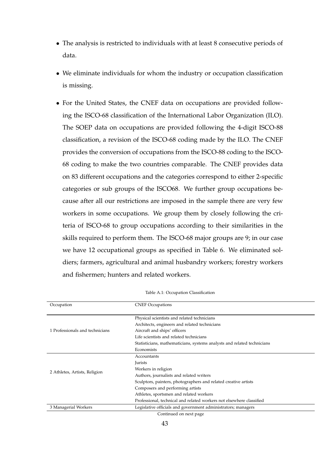- The analysis is restricted to individuals with at least 8 consecutive periods of data.
- We eliminate individuals for whom the industry or occupation classification is missing.
- For the United States, the CNEF data on occupations are provided following the ISCO-68 classification of the International Labor Organization (ILO). The SOEP data on occupations are provided following the 4-digit ISCO-88 classification, a revision of the ISCO-68 coding made by the ILO. The CNEF provides the conversion of occupations from the ISCO-88 coding to the ISCO-68 coding to make the two countries comparable. The CNEF provides data on 83 different occupations and the categories correspond to either 2-specific categories or sub groups of the ISCO68. We further group occupations because after all our restrictions are imposed in the sample there are very few workers in some occupations. We group them by closely following the criteria of ISCO-68 to group occupations according to their similarities in the skills required to perform them. The ISCO-68 major groups are 9; in our case we have 12 occupational groups as specified in Table 6. We eliminated soldiers; farmers, agricultural and animal husbandry workers; forestry workers and fishermen; hunters and related workers.

| Occupation                      | <b>CNEF Occupations</b>                                                 |  |
|---------------------------------|-------------------------------------------------------------------------|--|
|                                 | Physical scientists and related technicians                             |  |
|                                 | Architects, engineers and related technicians                           |  |
| 1 Professionals and technicians | Aircraft and ships' officers                                            |  |
|                                 | Life scientists and related technicians                                 |  |
|                                 | Statisticians, mathematicians, systems analysts and related technicians |  |
|                                 | Economists                                                              |  |
|                                 | Accountants                                                             |  |
|                                 | Jurists                                                                 |  |
|                                 | Workers in religion                                                     |  |
| 2 Athletes, Artists, Religion   | Authors, journalists and related writers                                |  |
|                                 | Sculptors, painters, photographers and related creative artists         |  |
|                                 | Composers and performing artists                                        |  |
|                                 | Athletes, sportsmen and related workers                                 |  |
|                                 | Professional, technical and related workers not elsewhere classified    |  |
| 3 Managerial Workers            | Legislative officials and government administrators; managers           |  |

Table A.1: Occupation Classification

<sup>43</sup>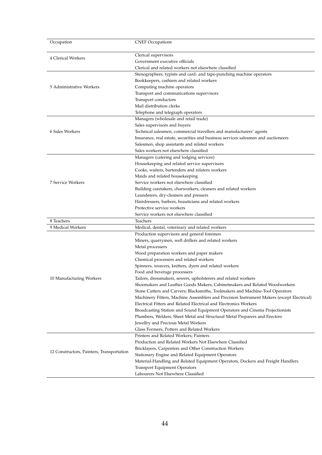| Clerical supervisors<br>4 Clerical Workers<br>Government executive officials<br>Clerical and related workers not elsewhere classified<br>Stenographers, typists and card- and tape-punching machine operators<br>Bookkeepers, cashiers and related workers<br>Computing machine operators<br>5 Administrative Workers<br>Transport and communications supervisors<br>Transport conductors<br>Mail distribution clerks<br>Telephone and telegraph operators<br>Managers (wholesale and retail trade)<br>Sales supervisors and buyers<br>6 Sales Workers<br>Technical salesmen, commercial travellers and manufacturers' agents<br>Insurance, real estate, securities and business services salesmen and auctioneers<br>Salesmen, shop assistants and related workers<br>Sales workers not elsewhere classified<br>Managers (catering and lodging services)<br>Housekeeping and related service supervisors<br>Cooks, waiters, bartenders and relaters workers<br>Maids and related housekeeping<br>7 Service Workers<br>Service workers not elsewhere classified<br>Building caretakers, charworkers, cleaners and related workers<br>Launderers, dry-cleaners and pressers<br>Hairdressers, barbers, beauticians and related workers<br>Protective service workers<br>Service workers not elsewhere classified<br>8 Teachers<br>Teachers<br>9 Medical Workers<br>Medical, dental, veterinary and related workers<br>Production supervisors and general foremen<br>Miners, quarrymen, well drillers and related workers<br>Metal processers<br>Wood preparation workers and paper makers<br>Chemical processers and related workers<br>Spinners, weavers, knitters, dyers and related workers<br>Food and beverage processers<br>10 Manufacturing Workers<br>Tailors, dressmakers, sewers, upholsterers and related workers<br>Shoemakers and Leather Goods Makers; Cabinetmakers and Related Woodworkers<br>Stone Cutters and Carvers; Blacksmiths, Toolmakers and Machine-Tool Operators<br>Machinery Fitters, Machine Assemblers and Precision Instrument Makers (except Electrical)<br>Electrical Fitters and Related Electrical and Electronics Workers<br>Broadcasting Station and Sound Equipment Operators and Cinema Projectionists<br>Plumbers, Welders, Sheet Metal and Structural Metal Preparers and Erectors<br>Jewellry and Precious Metal Workers<br>Glass Formers, Potters and Related Workers<br>Printers and Related Workers; Painters<br>Production and Related Workers Not Elsewhere Classified<br>Bricklayers, Carpenters and Other Construction Workers<br>12 Constructors, Painters, Transportation<br>Stationary Engine and Related Equipment Operators<br>Material-Handling and Related Equipment Operators, Dockers and Freight Handlers | Occupation | <b>CNEF Occupations</b> |
|--------------------------------------------------------------------------------------------------------------------------------------------------------------------------------------------------------------------------------------------------------------------------------------------------------------------------------------------------------------------------------------------------------------------------------------------------------------------------------------------------------------------------------------------------------------------------------------------------------------------------------------------------------------------------------------------------------------------------------------------------------------------------------------------------------------------------------------------------------------------------------------------------------------------------------------------------------------------------------------------------------------------------------------------------------------------------------------------------------------------------------------------------------------------------------------------------------------------------------------------------------------------------------------------------------------------------------------------------------------------------------------------------------------------------------------------------------------------------------------------------------------------------------------------------------------------------------------------------------------------------------------------------------------------------------------------------------------------------------------------------------------------------------------------------------------------------------------------------------------------------------------------------------------------------------------------------------------------------------------------------------------------------------------------------------------------------------------------------------------------------------------------------------------------------------------------------------------------------------------------------------------------------------------------------------------------------------------------------------------------------------------------------------------------------------------------------------------------------------------------------------------------------------------------------------------------------------------------------------------------------------------------------------------------------------------------------------------------------------------------------------------------|------------|-------------------------|
|                                                                                                                                                                                                                                                                                                                                                                                                                                                                                                                                                                                                                                                                                                                                                                                                                                                                                                                                                                                                                                                                                                                                                                                                                                                                                                                                                                                                                                                                                                                                                                                                                                                                                                                                                                                                                                                                                                                                                                                                                                                                                                                                                                                                                                                                                                                                                                                                                                                                                                                                                                                                                                                                                                                                                                    |            |                         |
|                                                                                                                                                                                                                                                                                                                                                                                                                                                                                                                                                                                                                                                                                                                                                                                                                                                                                                                                                                                                                                                                                                                                                                                                                                                                                                                                                                                                                                                                                                                                                                                                                                                                                                                                                                                                                                                                                                                                                                                                                                                                                                                                                                                                                                                                                                                                                                                                                                                                                                                                                                                                                                                                                                                                                                    |            |                         |
|                                                                                                                                                                                                                                                                                                                                                                                                                                                                                                                                                                                                                                                                                                                                                                                                                                                                                                                                                                                                                                                                                                                                                                                                                                                                                                                                                                                                                                                                                                                                                                                                                                                                                                                                                                                                                                                                                                                                                                                                                                                                                                                                                                                                                                                                                                                                                                                                                                                                                                                                                                                                                                                                                                                                                                    |            |                         |
|                                                                                                                                                                                                                                                                                                                                                                                                                                                                                                                                                                                                                                                                                                                                                                                                                                                                                                                                                                                                                                                                                                                                                                                                                                                                                                                                                                                                                                                                                                                                                                                                                                                                                                                                                                                                                                                                                                                                                                                                                                                                                                                                                                                                                                                                                                                                                                                                                                                                                                                                                                                                                                                                                                                                                                    |            |                         |
|                                                                                                                                                                                                                                                                                                                                                                                                                                                                                                                                                                                                                                                                                                                                                                                                                                                                                                                                                                                                                                                                                                                                                                                                                                                                                                                                                                                                                                                                                                                                                                                                                                                                                                                                                                                                                                                                                                                                                                                                                                                                                                                                                                                                                                                                                                                                                                                                                                                                                                                                                                                                                                                                                                                                                                    |            |                         |
|                                                                                                                                                                                                                                                                                                                                                                                                                                                                                                                                                                                                                                                                                                                                                                                                                                                                                                                                                                                                                                                                                                                                                                                                                                                                                                                                                                                                                                                                                                                                                                                                                                                                                                                                                                                                                                                                                                                                                                                                                                                                                                                                                                                                                                                                                                                                                                                                                                                                                                                                                                                                                                                                                                                                                                    |            |                         |
|                                                                                                                                                                                                                                                                                                                                                                                                                                                                                                                                                                                                                                                                                                                                                                                                                                                                                                                                                                                                                                                                                                                                                                                                                                                                                                                                                                                                                                                                                                                                                                                                                                                                                                                                                                                                                                                                                                                                                                                                                                                                                                                                                                                                                                                                                                                                                                                                                                                                                                                                                                                                                                                                                                                                                                    |            |                         |
|                                                                                                                                                                                                                                                                                                                                                                                                                                                                                                                                                                                                                                                                                                                                                                                                                                                                                                                                                                                                                                                                                                                                                                                                                                                                                                                                                                                                                                                                                                                                                                                                                                                                                                                                                                                                                                                                                                                                                                                                                                                                                                                                                                                                                                                                                                                                                                                                                                                                                                                                                                                                                                                                                                                                                                    |            |                         |
|                                                                                                                                                                                                                                                                                                                                                                                                                                                                                                                                                                                                                                                                                                                                                                                                                                                                                                                                                                                                                                                                                                                                                                                                                                                                                                                                                                                                                                                                                                                                                                                                                                                                                                                                                                                                                                                                                                                                                                                                                                                                                                                                                                                                                                                                                                                                                                                                                                                                                                                                                                                                                                                                                                                                                                    |            |                         |
|                                                                                                                                                                                                                                                                                                                                                                                                                                                                                                                                                                                                                                                                                                                                                                                                                                                                                                                                                                                                                                                                                                                                                                                                                                                                                                                                                                                                                                                                                                                                                                                                                                                                                                                                                                                                                                                                                                                                                                                                                                                                                                                                                                                                                                                                                                                                                                                                                                                                                                                                                                                                                                                                                                                                                                    |            |                         |
|                                                                                                                                                                                                                                                                                                                                                                                                                                                                                                                                                                                                                                                                                                                                                                                                                                                                                                                                                                                                                                                                                                                                                                                                                                                                                                                                                                                                                                                                                                                                                                                                                                                                                                                                                                                                                                                                                                                                                                                                                                                                                                                                                                                                                                                                                                                                                                                                                                                                                                                                                                                                                                                                                                                                                                    |            |                         |
|                                                                                                                                                                                                                                                                                                                                                                                                                                                                                                                                                                                                                                                                                                                                                                                                                                                                                                                                                                                                                                                                                                                                                                                                                                                                                                                                                                                                                                                                                                                                                                                                                                                                                                                                                                                                                                                                                                                                                                                                                                                                                                                                                                                                                                                                                                                                                                                                                                                                                                                                                                                                                                                                                                                                                                    |            |                         |
|                                                                                                                                                                                                                                                                                                                                                                                                                                                                                                                                                                                                                                                                                                                                                                                                                                                                                                                                                                                                                                                                                                                                                                                                                                                                                                                                                                                                                                                                                                                                                                                                                                                                                                                                                                                                                                                                                                                                                                                                                                                                                                                                                                                                                                                                                                                                                                                                                                                                                                                                                                                                                                                                                                                                                                    |            |                         |
|                                                                                                                                                                                                                                                                                                                                                                                                                                                                                                                                                                                                                                                                                                                                                                                                                                                                                                                                                                                                                                                                                                                                                                                                                                                                                                                                                                                                                                                                                                                                                                                                                                                                                                                                                                                                                                                                                                                                                                                                                                                                                                                                                                                                                                                                                                                                                                                                                                                                                                                                                                                                                                                                                                                                                                    |            |                         |
|                                                                                                                                                                                                                                                                                                                                                                                                                                                                                                                                                                                                                                                                                                                                                                                                                                                                                                                                                                                                                                                                                                                                                                                                                                                                                                                                                                                                                                                                                                                                                                                                                                                                                                                                                                                                                                                                                                                                                                                                                                                                                                                                                                                                                                                                                                                                                                                                                                                                                                                                                                                                                                                                                                                                                                    |            |                         |
|                                                                                                                                                                                                                                                                                                                                                                                                                                                                                                                                                                                                                                                                                                                                                                                                                                                                                                                                                                                                                                                                                                                                                                                                                                                                                                                                                                                                                                                                                                                                                                                                                                                                                                                                                                                                                                                                                                                                                                                                                                                                                                                                                                                                                                                                                                                                                                                                                                                                                                                                                                                                                                                                                                                                                                    |            |                         |
|                                                                                                                                                                                                                                                                                                                                                                                                                                                                                                                                                                                                                                                                                                                                                                                                                                                                                                                                                                                                                                                                                                                                                                                                                                                                                                                                                                                                                                                                                                                                                                                                                                                                                                                                                                                                                                                                                                                                                                                                                                                                                                                                                                                                                                                                                                                                                                                                                                                                                                                                                                                                                                                                                                                                                                    |            |                         |
|                                                                                                                                                                                                                                                                                                                                                                                                                                                                                                                                                                                                                                                                                                                                                                                                                                                                                                                                                                                                                                                                                                                                                                                                                                                                                                                                                                                                                                                                                                                                                                                                                                                                                                                                                                                                                                                                                                                                                                                                                                                                                                                                                                                                                                                                                                                                                                                                                                                                                                                                                                                                                                                                                                                                                                    |            |                         |
|                                                                                                                                                                                                                                                                                                                                                                                                                                                                                                                                                                                                                                                                                                                                                                                                                                                                                                                                                                                                                                                                                                                                                                                                                                                                                                                                                                                                                                                                                                                                                                                                                                                                                                                                                                                                                                                                                                                                                                                                                                                                                                                                                                                                                                                                                                                                                                                                                                                                                                                                                                                                                                                                                                                                                                    |            |                         |
|                                                                                                                                                                                                                                                                                                                                                                                                                                                                                                                                                                                                                                                                                                                                                                                                                                                                                                                                                                                                                                                                                                                                                                                                                                                                                                                                                                                                                                                                                                                                                                                                                                                                                                                                                                                                                                                                                                                                                                                                                                                                                                                                                                                                                                                                                                                                                                                                                                                                                                                                                                                                                                                                                                                                                                    |            |                         |
|                                                                                                                                                                                                                                                                                                                                                                                                                                                                                                                                                                                                                                                                                                                                                                                                                                                                                                                                                                                                                                                                                                                                                                                                                                                                                                                                                                                                                                                                                                                                                                                                                                                                                                                                                                                                                                                                                                                                                                                                                                                                                                                                                                                                                                                                                                                                                                                                                                                                                                                                                                                                                                                                                                                                                                    |            |                         |
|                                                                                                                                                                                                                                                                                                                                                                                                                                                                                                                                                                                                                                                                                                                                                                                                                                                                                                                                                                                                                                                                                                                                                                                                                                                                                                                                                                                                                                                                                                                                                                                                                                                                                                                                                                                                                                                                                                                                                                                                                                                                                                                                                                                                                                                                                                                                                                                                                                                                                                                                                                                                                                                                                                                                                                    |            |                         |
|                                                                                                                                                                                                                                                                                                                                                                                                                                                                                                                                                                                                                                                                                                                                                                                                                                                                                                                                                                                                                                                                                                                                                                                                                                                                                                                                                                                                                                                                                                                                                                                                                                                                                                                                                                                                                                                                                                                                                                                                                                                                                                                                                                                                                                                                                                                                                                                                                                                                                                                                                                                                                                                                                                                                                                    |            |                         |
|                                                                                                                                                                                                                                                                                                                                                                                                                                                                                                                                                                                                                                                                                                                                                                                                                                                                                                                                                                                                                                                                                                                                                                                                                                                                                                                                                                                                                                                                                                                                                                                                                                                                                                                                                                                                                                                                                                                                                                                                                                                                                                                                                                                                                                                                                                                                                                                                                                                                                                                                                                                                                                                                                                                                                                    |            |                         |
|                                                                                                                                                                                                                                                                                                                                                                                                                                                                                                                                                                                                                                                                                                                                                                                                                                                                                                                                                                                                                                                                                                                                                                                                                                                                                                                                                                                                                                                                                                                                                                                                                                                                                                                                                                                                                                                                                                                                                                                                                                                                                                                                                                                                                                                                                                                                                                                                                                                                                                                                                                                                                                                                                                                                                                    |            |                         |
|                                                                                                                                                                                                                                                                                                                                                                                                                                                                                                                                                                                                                                                                                                                                                                                                                                                                                                                                                                                                                                                                                                                                                                                                                                                                                                                                                                                                                                                                                                                                                                                                                                                                                                                                                                                                                                                                                                                                                                                                                                                                                                                                                                                                                                                                                                                                                                                                                                                                                                                                                                                                                                                                                                                                                                    |            |                         |
|                                                                                                                                                                                                                                                                                                                                                                                                                                                                                                                                                                                                                                                                                                                                                                                                                                                                                                                                                                                                                                                                                                                                                                                                                                                                                                                                                                                                                                                                                                                                                                                                                                                                                                                                                                                                                                                                                                                                                                                                                                                                                                                                                                                                                                                                                                                                                                                                                                                                                                                                                                                                                                                                                                                                                                    |            |                         |
|                                                                                                                                                                                                                                                                                                                                                                                                                                                                                                                                                                                                                                                                                                                                                                                                                                                                                                                                                                                                                                                                                                                                                                                                                                                                                                                                                                                                                                                                                                                                                                                                                                                                                                                                                                                                                                                                                                                                                                                                                                                                                                                                                                                                                                                                                                                                                                                                                                                                                                                                                                                                                                                                                                                                                                    |            |                         |
|                                                                                                                                                                                                                                                                                                                                                                                                                                                                                                                                                                                                                                                                                                                                                                                                                                                                                                                                                                                                                                                                                                                                                                                                                                                                                                                                                                                                                                                                                                                                                                                                                                                                                                                                                                                                                                                                                                                                                                                                                                                                                                                                                                                                                                                                                                                                                                                                                                                                                                                                                                                                                                                                                                                                                                    |            |                         |
|                                                                                                                                                                                                                                                                                                                                                                                                                                                                                                                                                                                                                                                                                                                                                                                                                                                                                                                                                                                                                                                                                                                                                                                                                                                                                                                                                                                                                                                                                                                                                                                                                                                                                                                                                                                                                                                                                                                                                                                                                                                                                                                                                                                                                                                                                                                                                                                                                                                                                                                                                                                                                                                                                                                                                                    |            |                         |
|                                                                                                                                                                                                                                                                                                                                                                                                                                                                                                                                                                                                                                                                                                                                                                                                                                                                                                                                                                                                                                                                                                                                                                                                                                                                                                                                                                                                                                                                                                                                                                                                                                                                                                                                                                                                                                                                                                                                                                                                                                                                                                                                                                                                                                                                                                                                                                                                                                                                                                                                                                                                                                                                                                                                                                    |            |                         |
|                                                                                                                                                                                                                                                                                                                                                                                                                                                                                                                                                                                                                                                                                                                                                                                                                                                                                                                                                                                                                                                                                                                                                                                                                                                                                                                                                                                                                                                                                                                                                                                                                                                                                                                                                                                                                                                                                                                                                                                                                                                                                                                                                                                                                                                                                                                                                                                                                                                                                                                                                                                                                                                                                                                                                                    |            |                         |
|                                                                                                                                                                                                                                                                                                                                                                                                                                                                                                                                                                                                                                                                                                                                                                                                                                                                                                                                                                                                                                                                                                                                                                                                                                                                                                                                                                                                                                                                                                                                                                                                                                                                                                                                                                                                                                                                                                                                                                                                                                                                                                                                                                                                                                                                                                                                                                                                                                                                                                                                                                                                                                                                                                                                                                    |            |                         |
|                                                                                                                                                                                                                                                                                                                                                                                                                                                                                                                                                                                                                                                                                                                                                                                                                                                                                                                                                                                                                                                                                                                                                                                                                                                                                                                                                                                                                                                                                                                                                                                                                                                                                                                                                                                                                                                                                                                                                                                                                                                                                                                                                                                                                                                                                                                                                                                                                                                                                                                                                                                                                                                                                                                                                                    |            |                         |
|                                                                                                                                                                                                                                                                                                                                                                                                                                                                                                                                                                                                                                                                                                                                                                                                                                                                                                                                                                                                                                                                                                                                                                                                                                                                                                                                                                                                                                                                                                                                                                                                                                                                                                                                                                                                                                                                                                                                                                                                                                                                                                                                                                                                                                                                                                                                                                                                                                                                                                                                                                                                                                                                                                                                                                    |            |                         |
|                                                                                                                                                                                                                                                                                                                                                                                                                                                                                                                                                                                                                                                                                                                                                                                                                                                                                                                                                                                                                                                                                                                                                                                                                                                                                                                                                                                                                                                                                                                                                                                                                                                                                                                                                                                                                                                                                                                                                                                                                                                                                                                                                                                                                                                                                                                                                                                                                                                                                                                                                                                                                                                                                                                                                                    |            |                         |
|                                                                                                                                                                                                                                                                                                                                                                                                                                                                                                                                                                                                                                                                                                                                                                                                                                                                                                                                                                                                                                                                                                                                                                                                                                                                                                                                                                                                                                                                                                                                                                                                                                                                                                                                                                                                                                                                                                                                                                                                                                                                                                                                                                                                                                                                                                                                                                                                                                                                                                                                                                                                                                                                                                                                                                    |            |                         |
|                                                                                                                                                                                                                                                                                                                                                                                                                                                                                                                                                                                                                                                                                                                                                                                                                                                                                                                                                                                                                                                                                                                                                                                                                                                                                                                                                                                                                                                                                                                                                                                                                                                                                                                                                                                                                                                                                                                                                                                                                                                                                                                                                                                                                                                                                                                                                                                                                                                                                                                                                                                                                                                                                                                                                                    |            |                         |
|                                                                                                                                                                                                                                                                                                                                                                                                                                                                                                                                                                                                                                                                                                                                                                                                                                                                                                                                                                                                                                                                                                                                                                                                                                                                                                                                                                                                                                                                                                                                                                                                                                                                                                                                                                                                                                                                                                                                                                                                                                                                                                                                                                                                                                                                                                                                                                                                                                                                                                                                                                                                                                                                                                                                                                    |            |                         |
|                                                                                                                                                                                                                                                                                                                                                                                                                                                                                                                                                                                                                                                                                                                                                                                                                                                                                                                                                                                                                                                                                                                                                                                                                                                                                                                                                                                                                                                                                                                                                                                                                                                                                                                                                                                                                                                                                                                                                                                                                                                                                                                                                                                                                                                                                                                                                                                                                                                                                                                                                                                                                                                                                                                                                                    |            |                         |
|                                                                                                                                                                                                                                                                                                                                                                                                                                                                                                                                                                                                                                                                                                                                                                                                                                                                                                                                                                                                                                                                                                                                                                                                                                                                                                                                                                                                                                                                                                                                                                                                                                                                                                                                                                                                                                                                                                                                                                                                                                                                                                                                                                                                                                                                                                                                                                                                                                                                                                                                                                                                                                                                                                                                                                    |            |                         |
|                                                                                                                                                                                                                                                                                                                                                                                                                                                                                                                                                                                                                                                                                                                                                                                                                                                                                                                                                                                                                                                                                                                                                                                                                                                                                                                                                                                                                                                                                                                                                                                                                                                                                                                                                                                                                                                                                                                                                                                                                                                                                                                                                                                                                                                                                                                                                                                                                                                                                                                                                                                                                                                                                                                                                                    |            |                         |
|                                                                                                                                                                                                                                                                                                                                                                                                                                                                                                                                                                                                                                                                                                                                                                                                                                                                                                                                                                                                                                                                                                                                                                                                                                                                                                                                                                                                                                                                                                                                                                                                                                                                                                                                                                                                                                                                                                                                                                                                                                                                                                                                                                                                                                                                                                                                                                                                                                                                                                                                                                                                                                                                                                                                                                    |            |                         |
|                                                                                                                                                                                                                                                                                                                                                                                                                                                                                                                                                                                                                                                                                                                                                                                                                                                                                                                                                                                                                                                                                                                                                                                                                                                                                                                                                                                                                                                                                                                                                                                                                                                                                                                                                                                                                                                                                                                                                                                                                                                                                                                                                                                                                                                                                                                                                                                                                                                                                                                                                                                                                                                                                                                                                                    |            |                         |
|                                                                                                                                                                                                                                                                                                                                                                                                                                                                                                                                                                                                                                                                                                                                                                                                                                                                                                                                                                                                                                                                                                                                                                                                                                                                                                                                                                                                                                                                                                                                                                                                                                                                                                                                                                                                                                                                                                                                                                                                                                                                                                                                                                                                                                                                                                                                                                                                                                                                                                                                                                                                                                                                                                                                                                    |            |                         |
|                                                                                                                                                                                                                                                                                                                                                                                                                                                                                                                                                                                                                                                                                                                                                                                                                                                                                                                                                                                                                                                                                                                                                                                                                                                                                                                                                                                                                                                                                                                                                                                                                                                                                                                                                                                                                                                                                                                                                                                                                                                                                                                                                                                                                                                                                                                                                                                                                                                                                                                                                                                                                                                                                                                                                                    |            |                         |
|                                                                                                                                                                                                                                                                                                                                                                                                                                                                                                                                                                                                                                                                                                                                                                                                                                                                                                                                                                                                                                                                                                                                                                                                                                                                                                                                                                                                                                                                                                                                                                                                                                                                                                                                                                                                                                                                                                                                                                                                                                                                                                                                                                                                                                                                                                                                                                                                                                                                                                                                                                                                                                                                                                                                                                    |            |                         |
|                                                                                                                                                                                                                                                                                                                                                                                                                                                                                                                                                                                                                                                                                                                                                                                                                                                                                                                                                                                                                                                                                                                                                                                                                                                                                                                                                                                                                                                                                                                                                                                                                                                                                                                                                                                                                                                                                                                                                                                                                                                                                                                                                                                                                                                                                                                                                                                                                                                                                                                                                                                                                                                                                                                                                                    |            |                         |
|                                                                                                                                                                                                                                                                                                                                                                                                                                                                                                                                                                                                                                                                                                                                                                                                                                                                                                                                                                                                                                                                                                                                                                                                                                                                                                                                                                                                                                                                                                                                                                                                                                                                                                                                                                                                                                                                                                                                                                                                                                                                                                                                                                                                                                                                                                                                                                                                                                                                                                                                                                                                                                                                                                                                                                    |            |                         |
| <b>Transport Equipment Operators</b>                                                                                                                                                                                                                                                                                                                                                                                                                                                                                                                                                                                                                                                                                                                                                                                                                                                                                                                                                                                                                                                                                                                                                                                                                                                                                                                                                                                                                                                                                                                                                                                                                                                                                                                                                                                                                                                                                                                                                                                                                                                                                                                                                                                                                                                                                                                                                                                                                                                                                                                                                                                                                                                                                                                               |            |                         |
| Labourers Not Elsewhere Classified                                                                                                                                                                                                                                                                                                                                                                                                                                                                                                                                                                                                                                                                                                                                                                                                                                                                                                                                                                                                                                                                                                                                                                                                                                                                                                                                                                                                                                                                                                                                                                                                                                                                                                                                                                                                                                                                                                                                                                                                                                                                                                                                                                                                                                                                                                                                                                                                                                                                                                                                                                                                                                                                                                                                 |            |                         |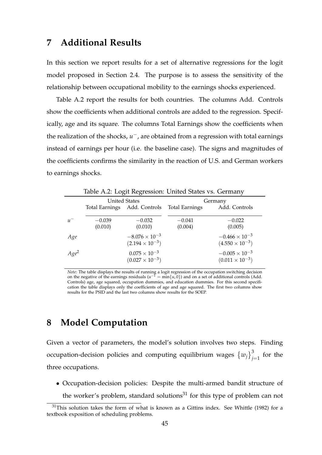### **7 Additional Results**

In this section we report results for a set of alternative regressions for the logit model proposed in Section 2.4. The purpose is to assess the sensitivity of the relationship between occupational mobility to the earnings shocks experienced.

Table A.2 report the results for both countries. The columns Add. Controls show the coefficients when additional controls are added to the regression. Specifically, age and its square. The columns Total Earnings show the coefficients when the realization of the shocks, *u*<sup>−</sup>, are obtained from a regression with total earnings instead of earnings per hour (i.e. the baseline case). The signs and magnitudes of the coefficients confirms the similarity in the reaction of U.S. and German workers to earnings shocks.

| Table A.2: Logit Regression: United States vs. Germany |                      |                              |                |                          |
|--------------------------------------------------------|----------------------|------------------------------|----------------|--------------------------|
|                                                        | <b>United States</b> |                              | Germany        |                          |
|                                                        |                      | Total Earnings Add. Controls | Total Earnings | Add. Controls            |
| $u^-$                                                  | $-0.039$             | $-0.032$                     | $-0.041$       | $-0.022$                 |
|                                                        | (0.010)              | (0.010)                      | (0.004)        | (0.005)                  |
| Age                                                    |                      | $-8.076 \times 10^{-3}$      |                | $-0.466 \times 10^{-3}$  |
|                                                        |                      | $(2.194 \times 10^{-3})$     |                | $(4.550 \times 10^{-3})$ |
| $Age^2$                                                |                      | $0.075 \times 10^{-3}$       |                | $-0.005 \times 10^{-3}$  |
|                                                        |                      | $(0.027 \times 10^{-3})$     |                | $(0.011 \times 10^{-3})$ |

*Note*: The table displays the results of running a logit regression of the occupation switching decision on the negative of the earnings residuals  $(u^{-1} = min\{u, 0\})$  and on a set of additional controls (Add. Controls) age, age squared, occupation dummies, and education dummies. For this second specification the table displays only the coefficients of age and age squared. The first two columns show results for the PSID and the last two columns show results for the SOEP.

## **8 Model Computation**

Given a vector of parameters, the model's solution involves two steps. Finding occupation-decision policies and computing equilibrium wages  $\left\{w_j\right\}_{j=1}^3$  $j=1$  for the three occupations.

• Occupation-decision policies: Despite the multi-armed bandit structure of the worker's problem, standard solutions<sup>31</sup> for this type of problem can not

 $31$ This solution takes the form of what is known as a Gittins index. See Whittle (1982) for a textbook exposition of scheduling problems.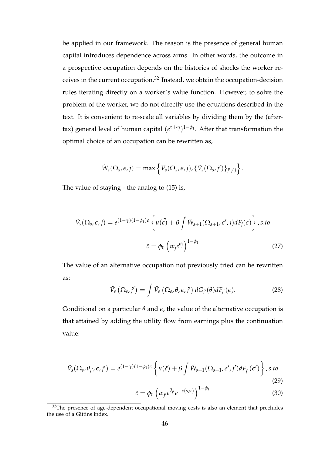be applied in our framework. The reason is the presence of general human capital introduces dependence across arms. In other words, the outcome in a prospective occupation depends on the histories of shocks the worker receives in the current occupation.<sup>32</sup> Instead, we obtain the occupation-decision rules iterating directly on a worker's value function. However, to solve the problem of the worker, we do not directly use the equations described in the text. It is convenient to re-scale all variables by dividing them by the (aftertax) general level of human capital  $(e^{z+\epsilon_j})^{1-\phi_1}$ . After that transformation the optimal choice of an occupation can be rewritten as,

$$
\tilde{W}_s(\Omega_s,\epsilon,j)=\max\left\{\tilde{V}_s(\Omega_s,\epsilon,j),\{\tilde{V}_s(\Omega_s,j')\}_{j'\neq j}\right\}.
$$

The value of staying - the analog to (15) is,

$$
\tilde{V}_s(\Omega_s, \epsilon, j) = e^{(1-\gamma)(1-\phi_1)\epsilon} \left\{ u(\tilde{c}) + \beta \int \tilde{W}_{s+1}(\Omega_{s+1}, \epsilon', j) dF_j(\epsilon) \right\}, s.to
$$
\n
$$
\tilde{c} = \phi_0 \left( w_j e^{\theta_j} \right)^{1-\phi_1} \tag{27}
$$

The value of an alternative occupation not previously tried can be rewritten as:

$$
\tilde{V}_s\left(\Omega_s, j'\right) = \int \tilde{V}_s\left(\Omega_s, \theta, \epsilon, j'\right) dG_{j'}(\theta) dF_{j'}(\epsilon). \tag{28}
$$

Conditional on a particular  $\theta$  and  $\epsilon$ , the value of the alternative occupation is that attained by adding the utility flow from earnings plus the continuation value:

$$
\tilde{V}_s(\Omega_s, \theta_{j'}, \epsilon, j') = e^{(1-\gamma)(1-\phi_1)\epsilon} \left\{ u(\tilde{c}) + \beta \int \tilde{W}_{s+1}(\Omega_{s+1}, \epsilon', j') dF_{j'}(\epsilon') \right\}, s.to \tag{29}
$$

$$
\tilde{c} = \phi_0 \left( w_{j'} e^{\theta_{j'}} e^{-c(s,\kappa)} \right)^{1-\phi_1} \tag{30}
$$

 $32$ The presence of age-dependent occupational moving costs is also an element that precludes the use of a Gittins index.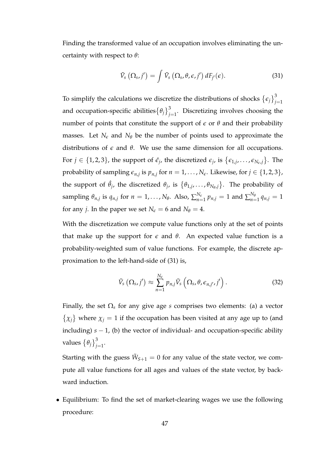Finding the transformed value of an occupation involves eliminating the uncertainty with respect to *θ*:

$$
\tilde{V}_s\left(\Omega_s, j'\right) = \int \tilde{V}_s\left(\Omega_s, \theta, \epsilon, j'\right) dF_{j'}(\epsilon). \tag{31}
$$

To simplify the calculations we discretize the distributions of shocks  $\{\epsilon_j\}^3_i$ *j*=1 and occupation-specific abilities $\left\{\theta_j\right\}_{j=1}^3$  $j=1$ . Discretizing involves choosing the number of points that constitute the support of  $\epsilon$  or  $\theta$  and their probability masses. Let  $N_e$  and  $N_\theta$  be the number of points used to approximate the distributions of  $\epsilon$  and  $\theta$ . We use the same dimension for all occupations. For  $j \in \{1, 2, 3\}$ , the support of  $\hat{\epsilon}_j$ , the discretized  $\epsilon_j$ , is  $\{\epsilon_{1,j}, \ldots, \epsilon_{N_{\epsilon},j}\}$ . The probability of sampling  $\epsilon_{n,j}$  is  $p_{n,j}$  for  $n=1,\ldots,N_\epsilon.$  Likewise, for  $j\in\{1,2,3\},$ the support of  $\hat{\theta}_j$ , the discretized  $\theta_j$ , is  $\{\theta_{1,j}, \ldots, \theta_{N_{\theta},j}\}$ . The probability of sampling  $\theta_{n,j}$  is  $q_{n,j}$  for  $n = 1, \ldots, N_{\theta}$ . Also,  $\sum_{n=1}^{N_{\theta}}$  $\frac{N_e}{n=1}$   $p_{n,j}=1$  and  $\sum_{n=1}^{N_e}$  $q_{n=1}^{N_{\theta}} q_{n,j} = 1$ for any *j*. In the paper we set  $N_{\epsilon} = 6$  and  $N_{\theta} = 4$ .

With the discretization we compute value functions only at the set of points that make up the support for  $\epsilon$  and  $\theta$ . An expected value function is a probability-weighted sum of value functions. For example, the discrete approximation to the left-hand-side of (31) is,

$$
\tilde{V}_s\left(\Omega_s, j'\right) \approx \sum_{n=1}^{N_{\epsilon}} p_{n,j} \tilde{V}_s\left(\Omega_s, \theta, \epsilon_{n,j'}, j'\right). \tag{32}
$$

Finally, the set  $\Omega_s$  for any give age *s* comprises two elements: (a) a vector  $\{\chi_j\}$  where  $\chi_j = 1$  if the occupation has been visited at any age up to (and including)  $s - 1$ , (b) the vector of individual- and occupation-specific ability values  $\left\{\theta_j\right\}_{i=1}^3$ *j*=1 .

Starting with the guess  $\tilde{W}_{S+1} = 0$  for any value of the state vector, we compute all value functions for all ages and values of the state vector, by backward induction.

• Equilibrium: To find the set of market-clearing wages we use the following procedure: